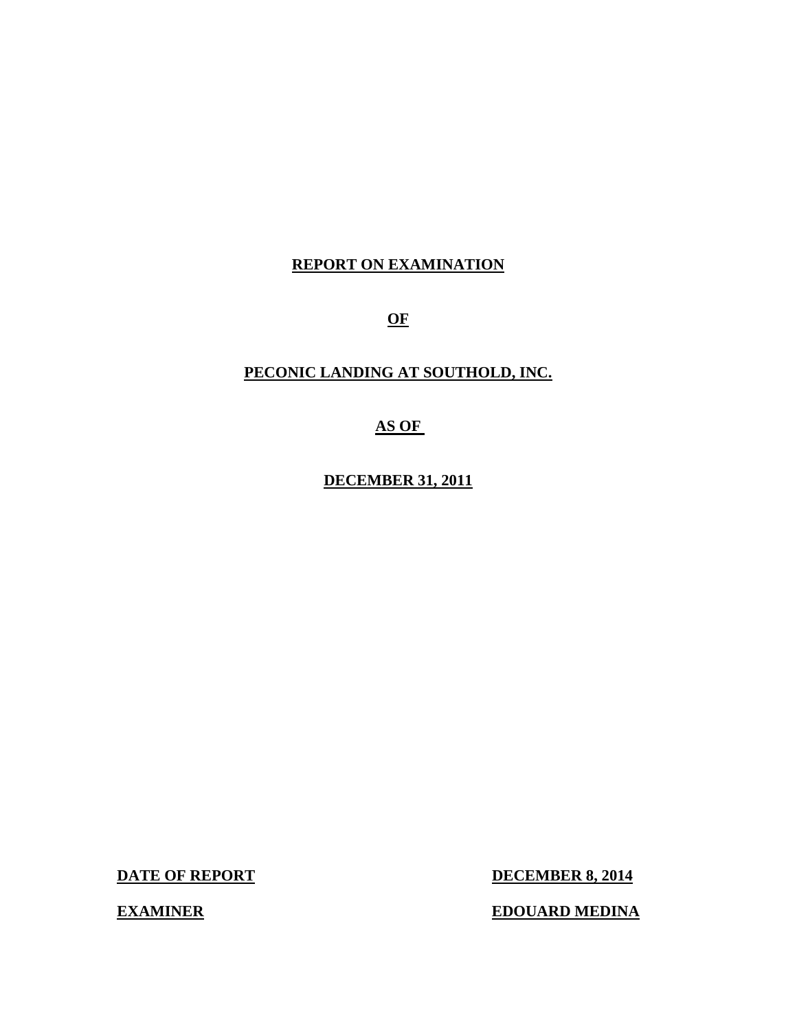## **REPORT ON EXAMINATION**

**OF** 

## **PECONIC LANDING AT SOUTHOLD, INC.**

## **AS OF**

**DECEMBER 31, 2011** 

**DATE OF REPORT** 

**DECEMBER 8, 2014** 

**EXAMINER EDOUARD MEDINA**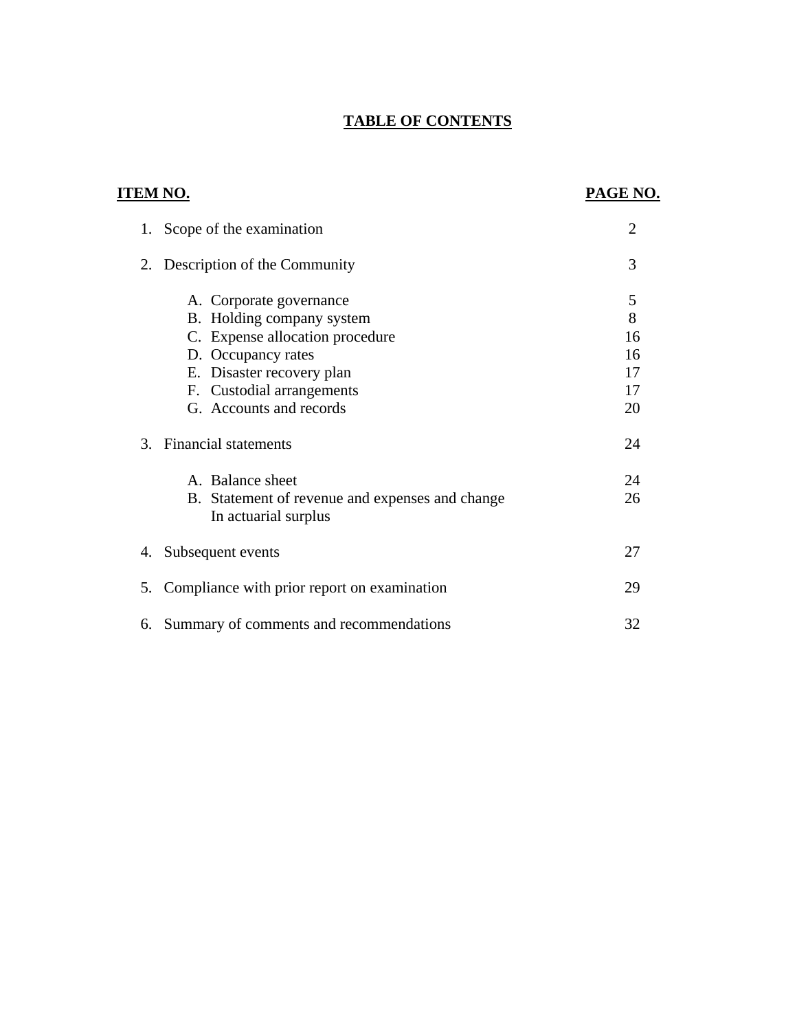## **TABLE OF CONTENTS**

# **ITEM NO. PAGE NO.** [1. Scope of the examination 2](#page-3-0) [2. Description of the Community 3](#page-4-0) [A. Corporate governance 5](#page-6-0) [B. Holding company system 8](#page-9-0) C. Expense allocation procedure 16 D. Occupancy rates 16 E. Disaster recovery plan 17 F. Custodial arrangements 17 G. Accounts and records 20 [3. Financial statements 24](#page-25-0) [A. Balance sheet 24](#page-25-0) B. Statement of revenue and expenses and change 26 In actuarial surplus 4. Subsequent events 27 5. Compliance with prior report on examination 29

6. Summary of comments and recommendations 32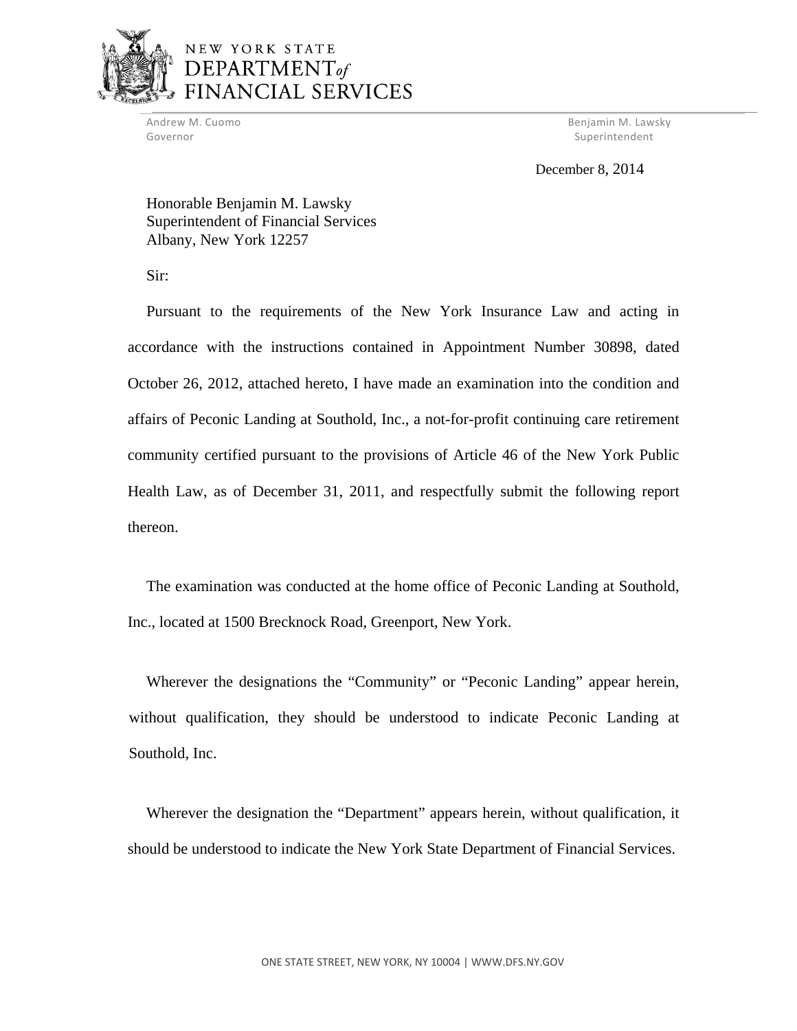

## NEW YORK STATE DEPARTMENT<sub>of</sub> **NCIAL SERVICES**

Governor Superintendent Superintendent Superintendent Superintendent Superintendent Superintendent Superintendent Superintendent Superintendent Superintendent Superintendent Superintendent Superintendent Superintendent Sup

Andrew M. Cuomo Benjamin M. Lawsky

December 8, 2014

Honorable Benjamin M. Lawsky Superintendent of Financial Services Albany, New York 12257

Sir:

Pursuant to the requirements of the New York Insurance Law and acting in accordance with the instructions contained in Appointment Number 30898, dated October 26, 2012, attached hereto, I have made an examination into the condition and affairs of Peconic Landing at Southold, Inc., a not-for-profit continuing care retirement community certified pursuant to the provisions of Article 46 of the New York Public Health Law, as of December 31, 2011, and respectfully submit the following report thereon.

The examination was conducted at the home office of Peconic Landing at Southold, Inc., located at 1500 Brecknock Road, Greenport, New York.

Wherever the designations the "Community" or "Peconic Landing" appear herein, without qualification, they should be understood to indicate Peconic Landing at Southold, Inc.

Wherever the designation the "Department" appears herein, without qualification, it should be understood to indicate the New York State Department of Financial Services.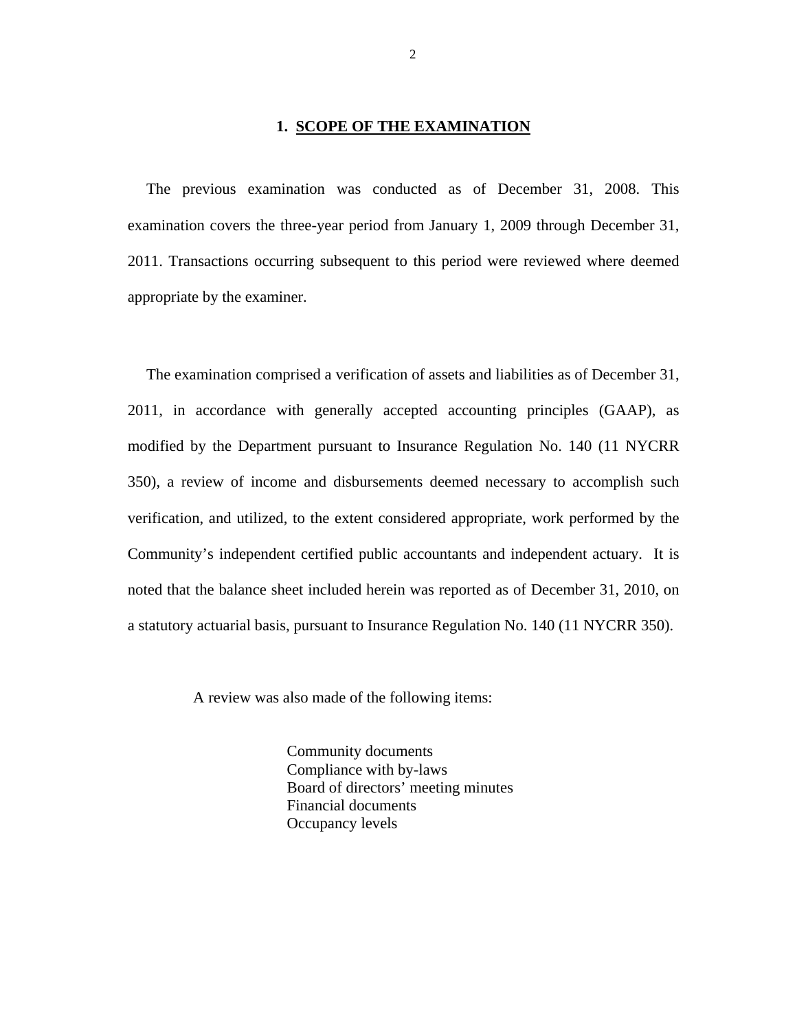### **1. SCOPE OF THE EXAMINATION**

<span id="page-3-0"></span>The previous examination was conducted as of December 31, 2008. This examination covers the three-year period from January 1, 2009 through December 31, 2011. Transactions occurring subsequent to this period were reviewed where deemed appropriate by the examiner.

The examination comprised a verification of assets and liabilities as of December 31, 2011, in accordance with generally accepted accounting principles (GAAP), as modified by the Department pursuant to Insurance Regulation No. 140 (11 NYCRR 350), a review of income and disbursements deemed necessary to accomplish such verification, and utilized, to the extent considered appropriate, work performed by the Community's independent certified public accountants and independent actuary. It is noted that the balance sheet included herein was reported as of December 31, 2010, on a statutory actuarial basis, pursuant to Insurance Regulation No. 140 (11 NYCRR 350).

A review was also made of the following items:

 Community documents Compliance with by-laws Board of directors' meeting minutes Financial documents Occupancy levels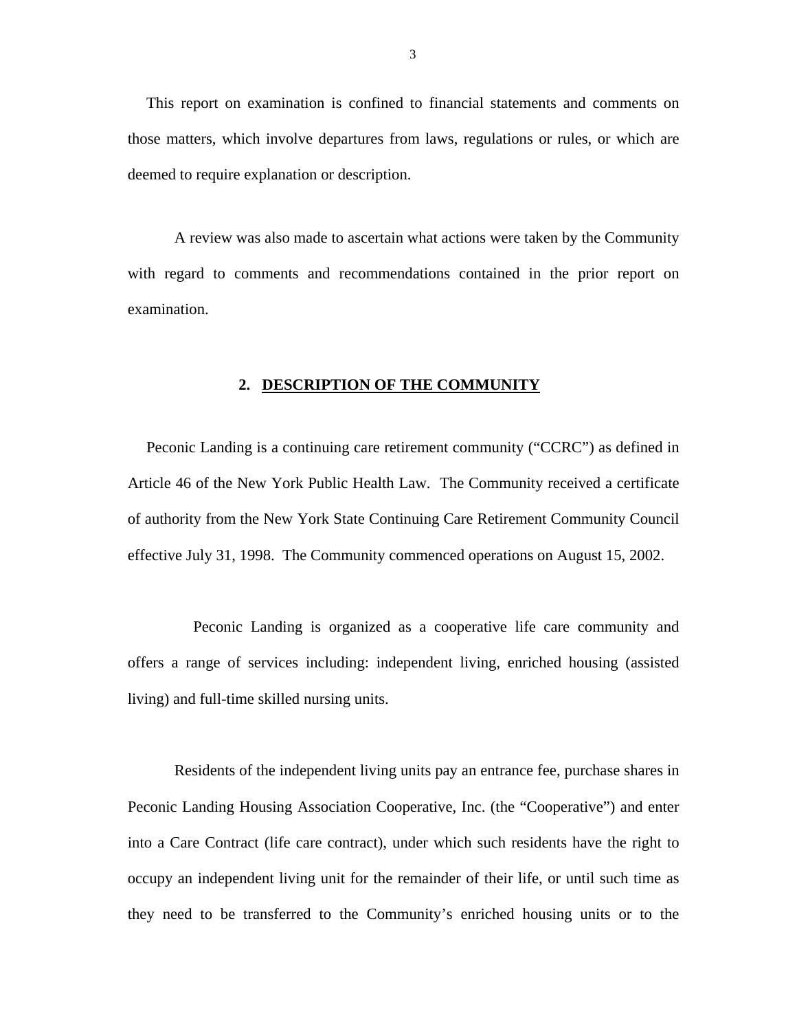<span id="page-4-0"></span>This report on examination is confined to financial statements and comments on those matters, which involve departures from laws, regulations or rules, or which are deemed to require explanation or description.

A review was also made to ascertain what actions were taken by the Community with regard to comments and recommendations contained in the prior report on examination.

#### **2. DESCRIPTION OF THE COMMUNITY**

Peconic Landing is a continuing care retirement community ("CCRC") as defined in Article 46 of the New York Public Health Law. The Community received a certificate of authority from the New York State Continuing Care Retirement Community Council effective July 31, 1998. The Community commenced operations on August 15, 2002.

Peconic Landing is organized as a cooperative life care community and offers a range of services including: independent living, enriched housing (assisted living) and full-time skilled nursing units.

Residents of the independent living units pay an entrance fee, purchase shares in Peconic Landing Housing Association Cooperative, Inc. (the "Cooperative") and enter into a Care Contract (life care contract), under which such residents have the right to occupy an independent living unit for the remainder of their life, or until such time as they need to be transferred to the Community's enriched housing units or to the

3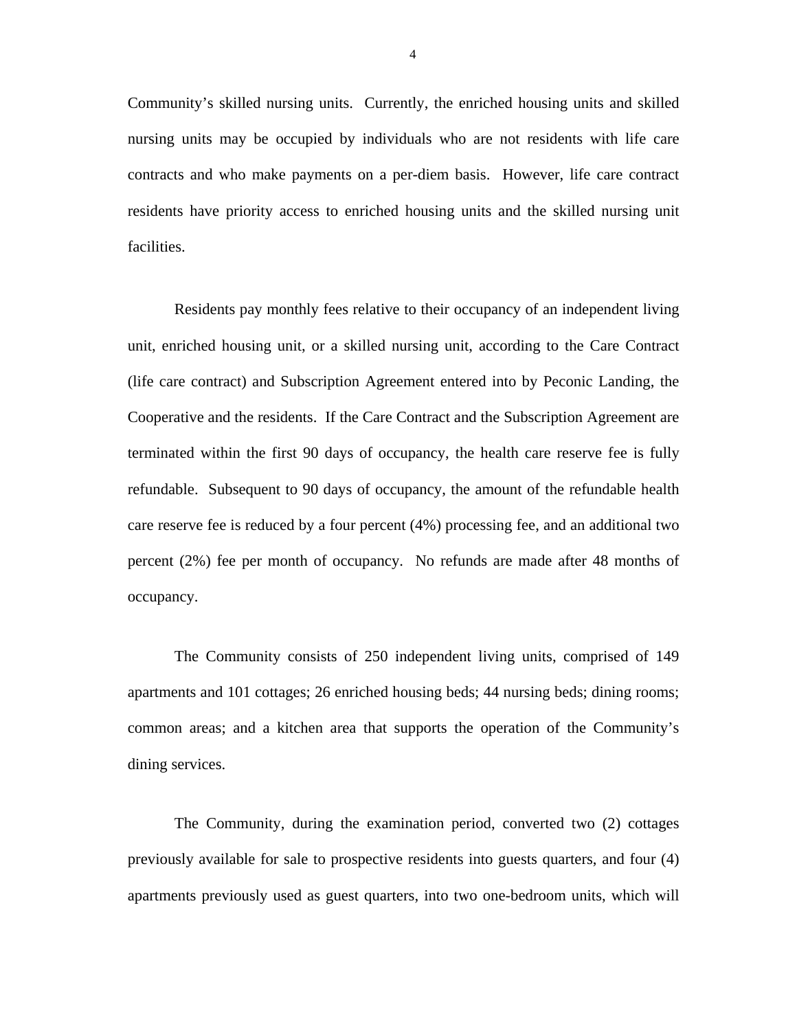Community's skilled nursing units. Currently, the enriched housing units and skilled nursing units may be occupied by individuals who are not residents with life care contracts and who make payments on a per-diem basis. However, life care contract residents have priority access to enriched housing units and the skilled nursing unit facilities.

Residents pay monthly fees relative to their occupancy of an independent living unit, enriched housing unit, or a skilled nursing unit, according to the Care Contract (life care contract) and Subscription Agreement entered into by Peconic Landing, the Cooperative and the residents. If the Care Contract and the Subscription Agreement are terminated within the first 90 days of occupancy, the health care reserve fee is fully refundable. Subsequent to 90 days of occupancy, the amount of the refundable health care reserve fee is reduced by a four percent (4%) processing fee, and an additional two percent (2%) fee per month of occupancy. No refunds are made after 48 months of occupancy.

The Community consists of 250 independent living units, comprised of 149 apartments and 101 cottages; 26 enriched housing beds; 44 nursing beds; dining rooms; common areas; and a kitchen area that supports the operation of the Community's dining services.

The Community, during the examination period, converted two (2) cottages previously available for sale to prospective residents into guests quarters, and four (4) apartments previously used as guest quarters, into two one-bedroom units, which will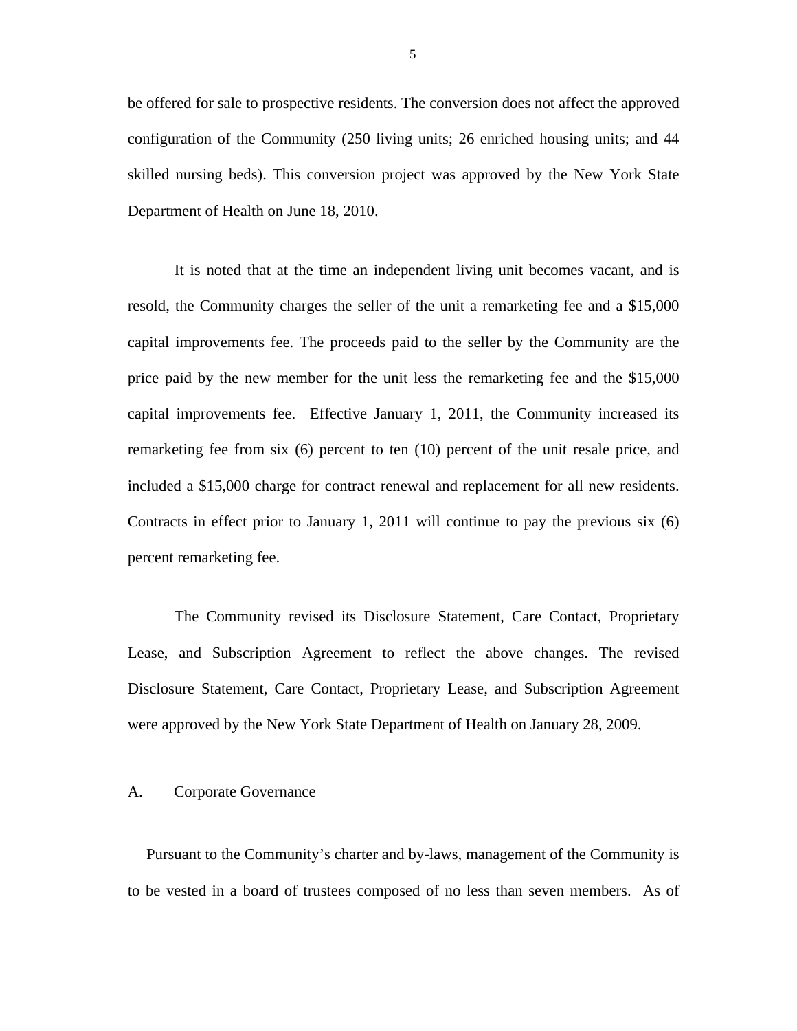<span id="page-6-0"></span>be offered for sale to prospective residents. The conversion does not affect the approved configuration of the Community (250 living units; 26 enriched housing units; and 44 skilled nursing beds). This conversion project was approved by the New York State Department of Health on June 18, 2010.

It is noted that at the time an independent living unit becomes vacant, and is resold, the Community charges the seller of the unit a remarketing fee and a \$15,000 capital improvements fee. The proceeds paid to the seller by the Community are the price paid by the new member for the unit less the remarketing fee and the \$15,000 capital improvements fee. Effective January 1, 2011, the Community increased its remarketing fee from six (6) percent to ten (10) percent of the unit resale price, and included a \$15,000 charge for contract renewal and replacement for all new residents. Contracts in effect prior to January 1, 2011 will continue to pay the previous six (6) percent remarketing fee.

The Community revised its Disclosure Statement, Care Contact, Proprietary Lease, and Subscription Agreement to reflect the above changes. The revised Disclosure Statement, Care Contact, Proprietary Lease, and Subscription Agreement were approved by the New York State Department of Health on January 28, 2009.

#### A. Corporate Governance

Pursuant to the Community's charter and by-laws, management of the Community is to be vested in a board of trustees composed of no less than seven members. As of

5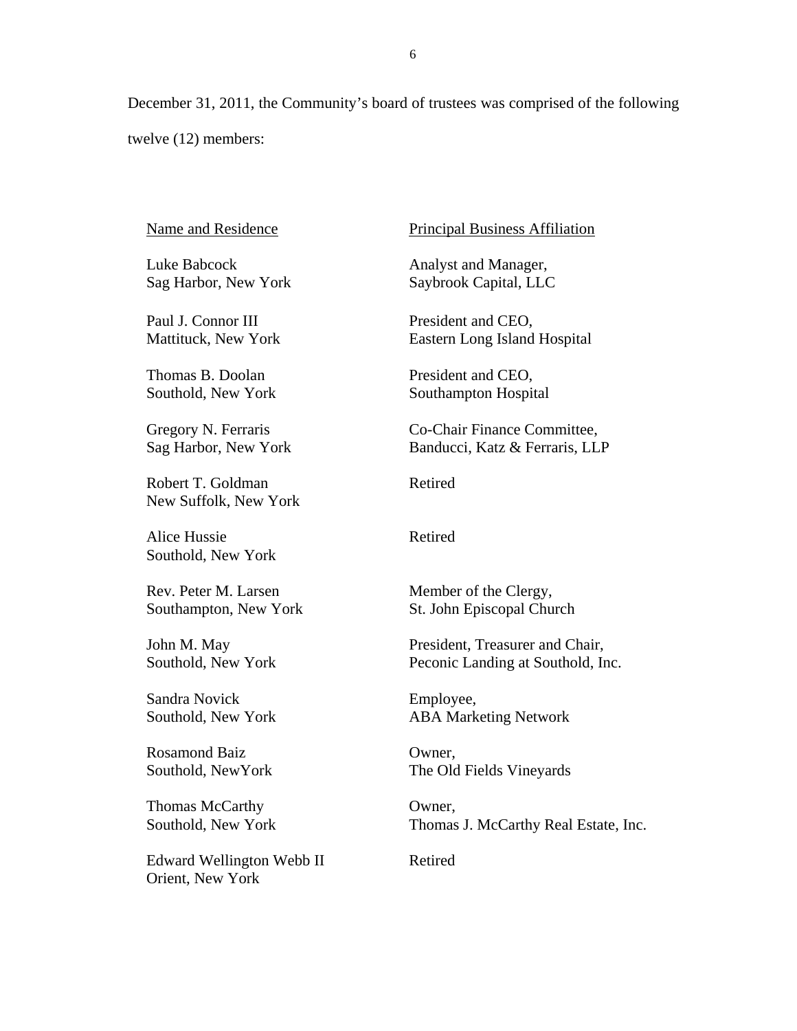December 31, 2011, the Community's board of trustees was comprised of the following twelve (12) members:

Name and Residence

Luke Babcock Sag Harbor, New York

Paul J. Connor III Mattituck, New York

Thomas B. Doolan Southold, New York

Gregory N. Ferraris Sag Harbor, New York

Robert T. Goldman New Suffolk, New York

Alice Hussie Southold, New York

 Southampton, New York John M. May Rev. Peter M. Larsen

Southold, New York

 Sandra Novick Southold, New York

Rosamond Baiz Southold, NewYork

Thomas McCarthy Southold, New York

Edward Wellington Webb II Orient, New York

Principal Business Affiliation

Analyst and Manager, Saybrook Capital, LLC

President and CEO, Eastern Long Island Hospital

President and CEO, Southampton Hospital

Co-Chair Finance Committee, Banducci, Katz & Ferraris, LLP

Retired

**Retired** 

Member of the Clergy, St. John Episcopal Church

President, Treasurer and Chair, Peconic Landing at Southold, Inc.

Employee, ABA Marketing Network

Owner, The Old Fields Vineyards

Owner, Thomas J. McCarthy Real Estate, Inc.

Retired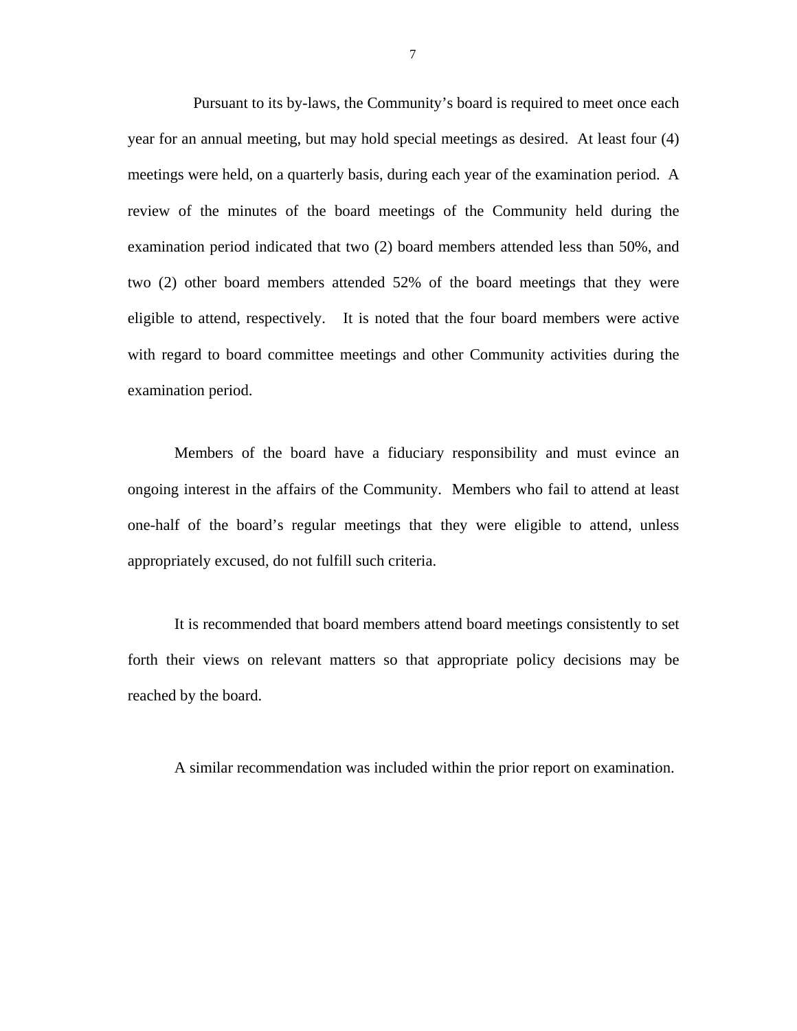Pursuant to its by-laws, the Community's board is required to meet once each year for an annual meeting, but may hold special meetings as desired. At least four (4) meetings were held, on a quarterly basis, during each year of the examination period. A review of the minutes of the board meetings of the Community held during the examination period indicated that two (2) board members attended less than 50%, and two (2) other board members attended 52% of the board meetings that they were eligible to attend, respectively. It is noted that the four board members were active with regard to board committee meetings and other Community activities during the examination period.

Members of the board have a fiduciary responsibility and must evince an ongoing interest in the affairs of the Community. Members who fail to attend at least one-half of the board's regular meetings that they were eligible to attend, unless appropriately excused, do not fulfill such criteria.

It is recommended that board members attend board meetings consistently to set forth their views on relevant matters so that appropriate policy decisions may be reached by the board.

A similar recommendation was included within the prior report on examination.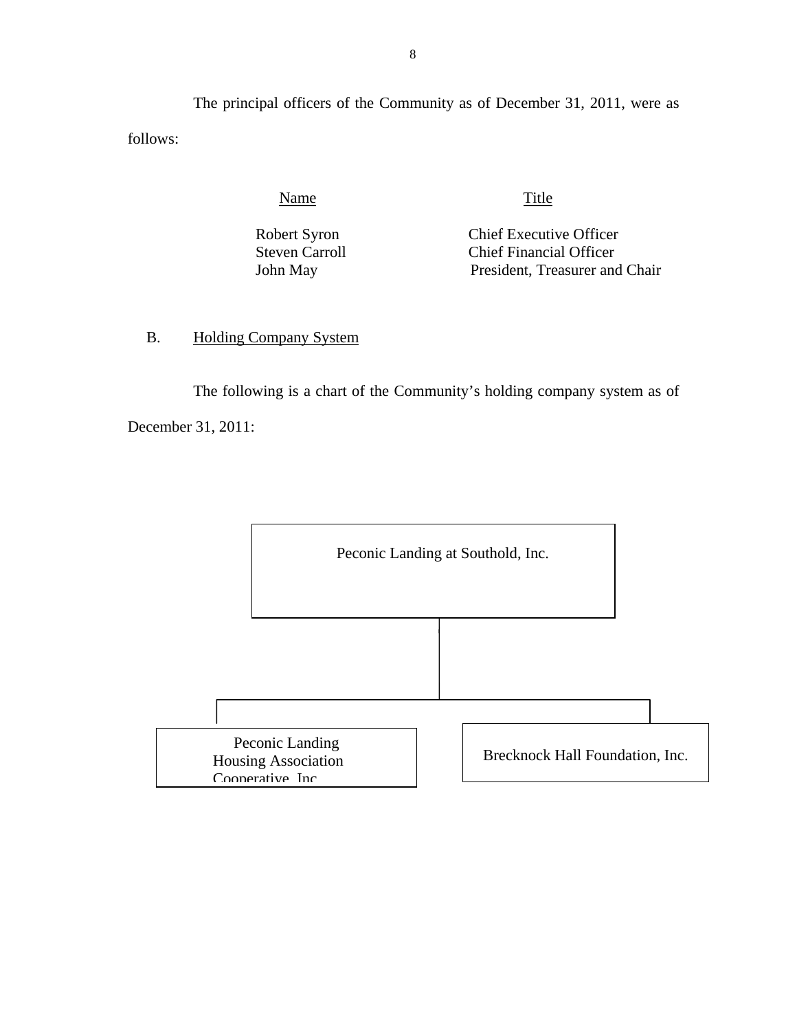<span id="page-9-0"></span>The principal officers of the Community as of December 31, 2011, were as follows:

Name Title

Robert Syron Chief Executive Officer Steven Carroll Chief Financial Officer John May President, Treasurer and Chair

B. Holding Company System

The following is a chart of the Community's holding company system as of December 31, 2011:

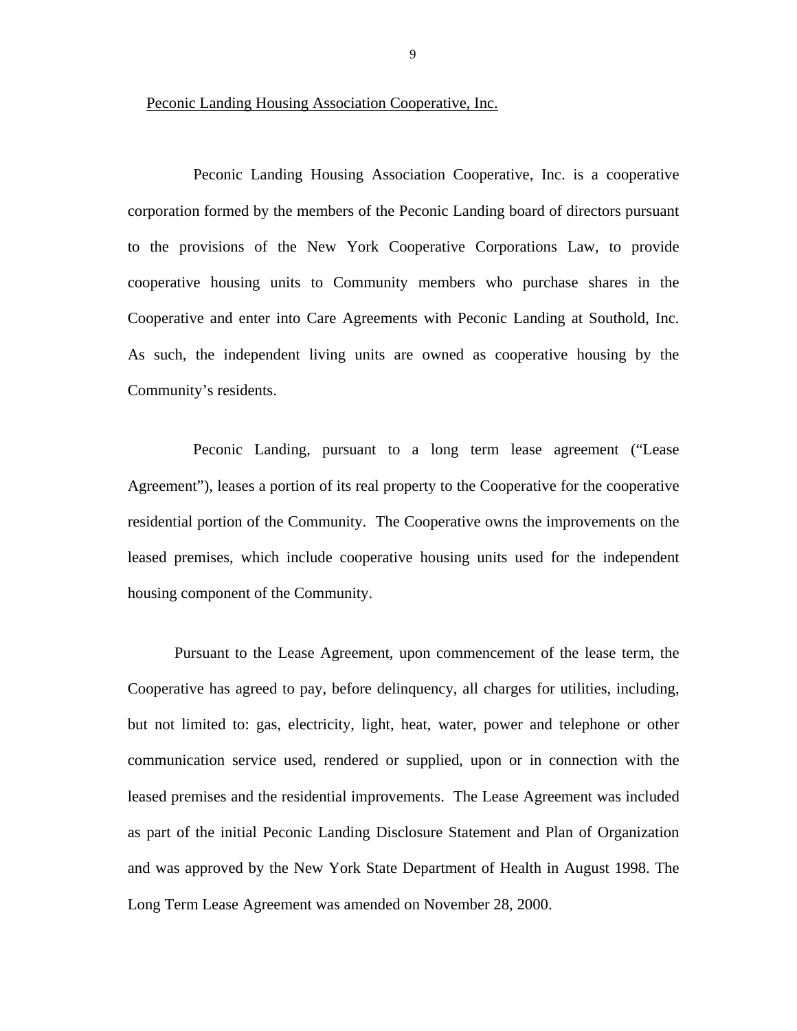Peconic Landing Housing Association Cooperative, Inc.

Peconic Landing Housing Association Cooperative, Inc. is a cooperative corporation formed by the members of the Peconic Landing board of directors pursuant to the provisions of the New York Cooperative Corporations Law, to provide cooperative housing units to Community members who purchase shares in the Cooperative and enter into Care Agreements with Peconic Landing at Southold, Inc. As such, the independent living units are owned as cooperative housing by the Community's residents.

Peconic Landing, pursuant to a long term lease agreement ("Lease Agreement"), leases a portion of its real property to the Cooperative for the cooperative residential portion of the Community. The Cooperative owns the improvements on the leased premises, which include cooperative housing units used for the independent housing component of the Community.

 and was approved by the New York State Department of Health in August 1998. The Pursuant to the Lease Agreement, upon commencement of the lease term, the Cooperative has agreed to pay, before delinquency, all charges for utilities, including, but not limited to: gas, electricity, light, heat, water, power and telephone or other communication service used, rendered or supplied, upon or in connection with the leased premises and the residential improvements. The Lease Agreement was included as part of the initial Peconic Landing Disclosure Statement and Plan of Organization Long Term Lease Agreement was amended on November 28, 2000.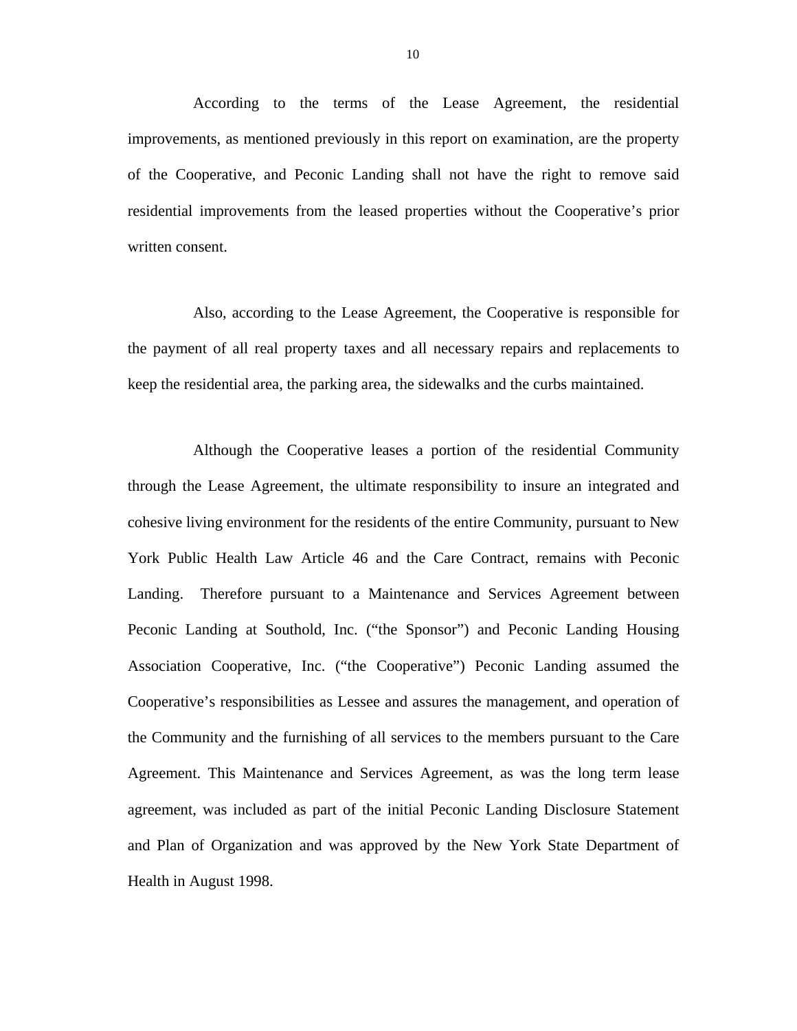According to the terms of the Lease Agreement, the residential improvements, as mentioned previously in this report on examination, are the property of the Cooperative, and Peconic Landing shall not have the right to remove said residential improvements from the leased properties without the Cooperative's prior written consent.

Also, according to the Lease Agreement, the Cooperative is responsible for the payment of all real property taxes and all necessary repairs and replacements to keep the residential area, the parking area, the sidewalks and the curbs maintained.

Although the Cooperative leases a portion of the residential Community through the Lease Agreement, the ultimate responsibility to insure an integrated and cohesive living environment for the residents of the entire Community, pursuant to New York Public Health Law Article 46 and the Care Contract, remains with Peconic Landing. Therefore pursuant to a Maintenance and Services Agreement between Peconic Landing at Southold, Inc. ("the Sponsor") and Peconic Landing Housing Association Cooperative, Inc. ("the Cooperative") Peconic Landing assumed the Cooperative's responsibilities as Lessee and assures the management, and operation of the Community and the furnishing of all services to the members pursuant to the Care Agreement. This Maintenance and Services Agreement, as was the long term lease agreement, was included as part of the initial Peconic Landing Disclosure Statement and Plan of Organization and was approved by the New York State Department of Health in August 1998.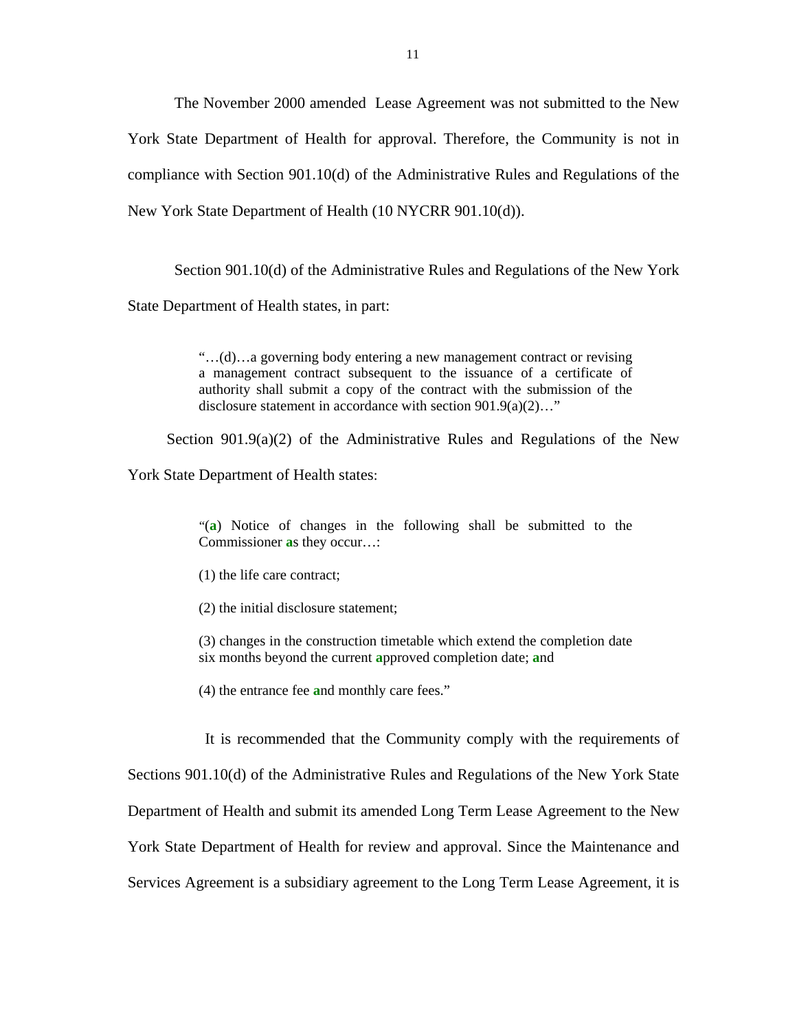The November 2000 amended Lease Agreement was not submitted to the New York State Department of Health for approval. Therefore, the Community is not in compliance with Section 901.10(d) of the Administrative Rules and Regulations of the New York State Department of Health (10 NYCRR 901.10(d)).

Section 901.10(d) of the Administrative Rules and Regulations of the New York State Department of Health states, in part:

> disclosure statement in accordance with section 901.9(a)(2)…" "…(d)…a governing body entering a new management contract or revising a management contract subsequent to the issuance of a certificate of authority shall submit a copy of the contract with the submission of the

Section  $901.9(a)(2)$  of the Administrative Rules and Regulations of the New

York State Department of Health states:

"(**a**) Notice of changes in the following shall be submitted to the Commissioner **a**s they occur…:

(1) the life care contract;

(2) the initial disclosure statement;

(3) changes in the construction timetable which extend the completion date six months beyond the current **a**pproved completion date; **a**nd

(4) the entrance fee **a**nd monthly care fees."

It is recommended that the Community comply with the requirements of Sections 901.10(d) of the Administrative Rules and Regulations of the New York State Department of Health and submit its amended Long Term Lease Agreement to the New York State Department of Health for review and approval. Since the Maintenance and Services Agreement is a subsidiary agreement to the Long Term Lease Agreement, it is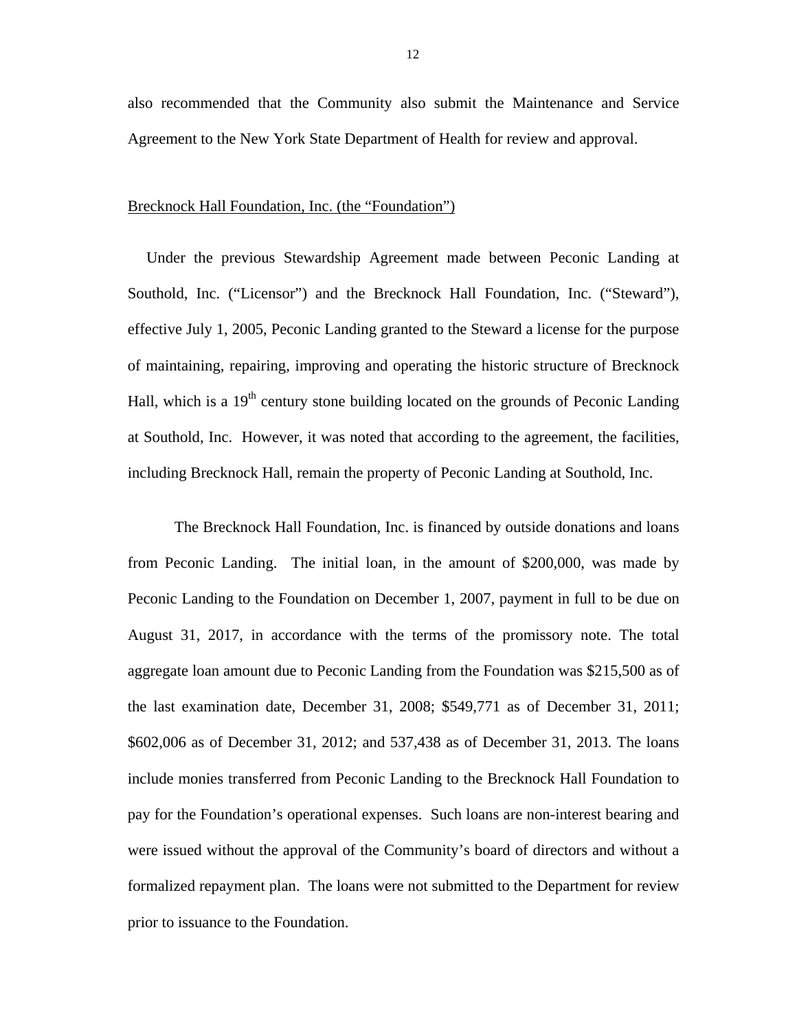also recommended that the Community also submit the Maintenance and Service Agreement to the New York State Department of Health for review and approval.

#### Brecknock Hall Foundation, Inc. (the "Foundation")

Under the previous Stewardship Agreement made between Peconic Landing at Southold, Inc. ("Licensor") and the Brecknock Hall Foundation, Inc. ("Steward"), effective July 1, 2005, Peconic Landing granted to the Steward a license for the purpose of maintaining, repairing, improving and operating the historic structure of Brecknock Hall, which is a  $19<sup>th</sup>$  century stone building located on the grounds of Peconic Landing at Southold, Inc. However, it was noted that according to the agreement, the facilities, including Brecknock Hall, remain the property of Peconic Landing at Southold, Inc.

The Brecknock Hall Foundation, Inc. is financed by outside donations and loans from Peconic Landing. The initial loan, in the amount of \$200,000, was made by Peconic Landing to the Foundation on December 1, 2007, payment in full to be due on August 31, 2017, in accordance with the terms of the promissory note. The total aggregate loan amount due to Peconic Landing from the Foundation was \$215,500 as of the last examination date, December 31, 2008; \$549,771 as of December 31, 2011; \$602,006 as of December 31, 2012; and 537,438 as of December 31, 2013. The loans include monies transferred from Peconic Landing to the Brecknock Hall Foundation to pay for the Foundation's operational expenses. Such loans are non-interest bearing and were issued without the approval of the Community's board of directors and without a formalized repayment plan. The loans were not submitted to the Department for review prior to issuance to the Foundation.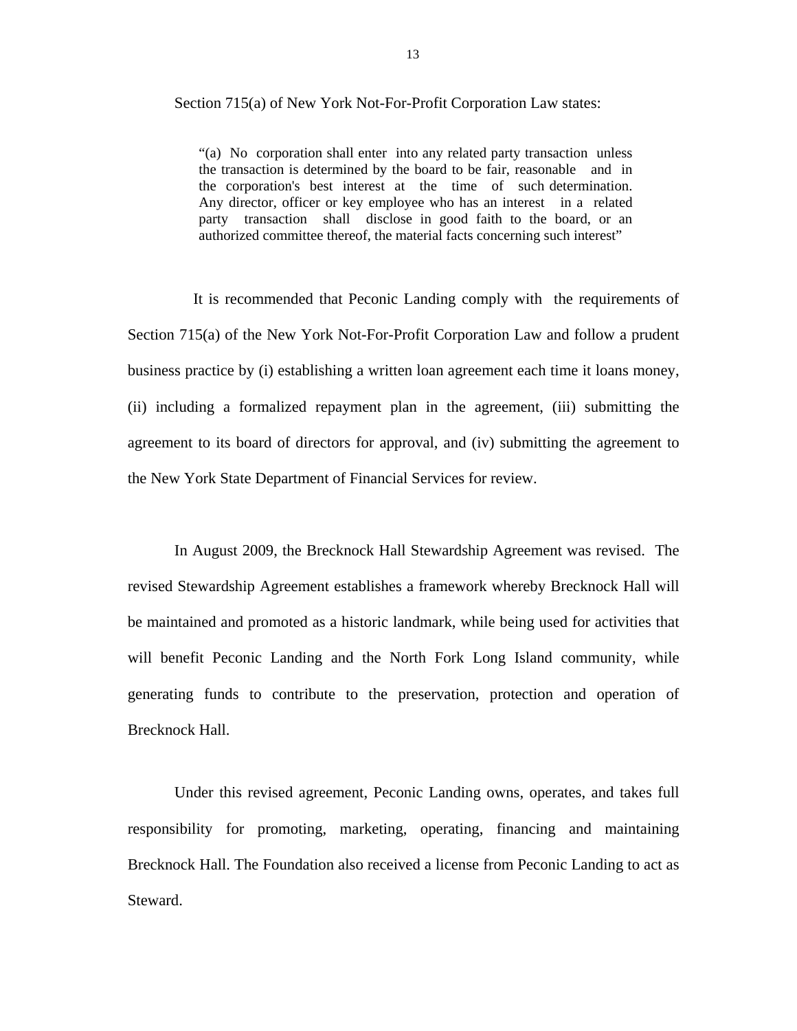#### Section 715(a) of New York Not-For-Profit Corporation Law states:

the transaction is determined by the board to be fair, reasonable and in "(a) No corporation shall enter into any related party transaction unless the corporation's best interest at the time of such determination. Any director, officer or key employee who has an interest in a related party transaction shall disclose in good faith to the board, or an authorized committee thereof, the material facts concerning such interest"

It is recommended that Peconic Landing comply with the requirements of Section 715(a) of the New York Not-For-Profit Corporation Law and follow a prudent business practice by (i) establishing a written loan agreement each time it loans money, (ii) including a formalized repayment plan in the agreement, (iii) submitting the agreement to its board of directors for approval, and (iv) submitting the agreement to the New York State Department of Financial Services for review.

In August 2009, the Brecknock Hall Stewardship Agreement was revised. The revised Stewardship Agreement establishes a framework whereby Brecknock Hall will be maintained and promoted as a historic landmark, while being used for activities that will benefit Peconic Landing and the North Fork Long Island community, while generating funds to contribute to the preservation, protection and operation of Brecknock Hall.

 Under this revised agreement, Peconic Landing owns, operates, and takes full responsibility for promoting, marketing, operating, financing and maintaining Brecknock Hall. The Foundation also received a license from Peconic Landing to act as Steward.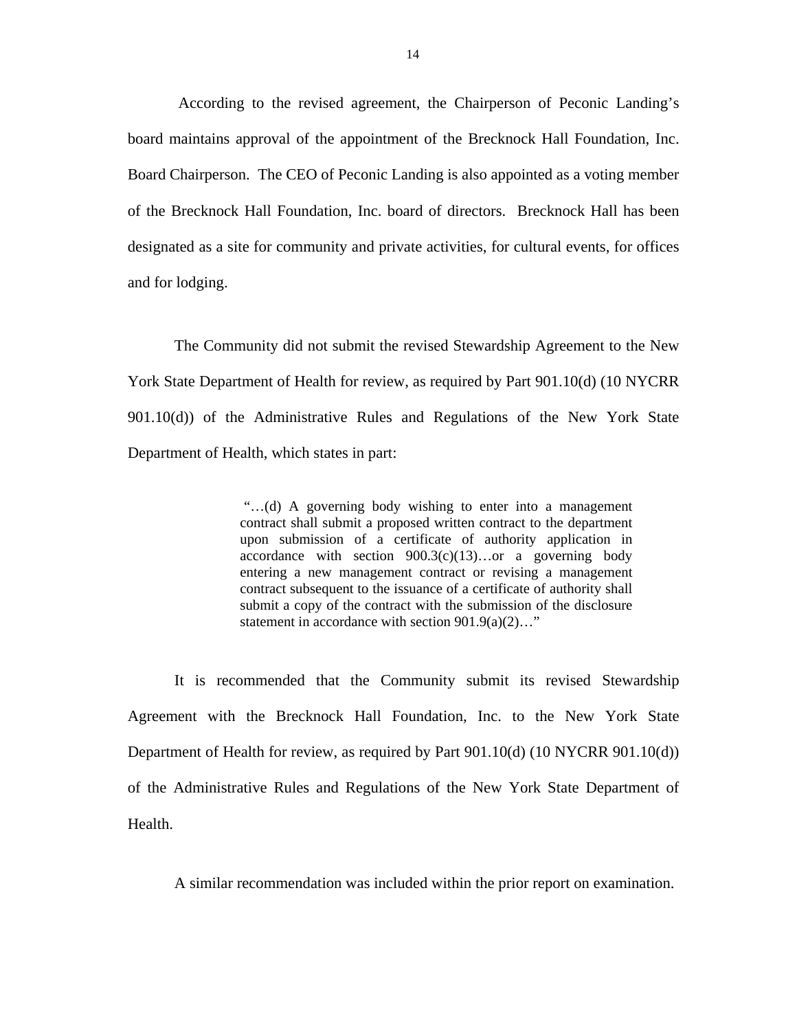According to the revised agreement, the Chairperson of Peconic Landing's board maintains approval of the appointment of the Brecknock Hall Foundation, Inc. Board Chairperson. The CEO of Peconic Landing is also appointed as a voting member of the Brecknock Hall Foundation, Inc. board of directors. Brecknock Hall has been designated as a site for community and private activities, for cultural events, for offices and for lodging.

The Community did not submit the revised Stewardship Agreement to the New York State Department of Health for review, as required by Part 901.10(d) (10 NYCRR 901.10(d)) of the Administrative Rules and Regulations of the New York State Department of Health, which states in part:

> "…(d) A governing body wishing to enter into a management contract shall submit a proposed written contract to the department upon submission of a certificate of authority application in accordance with section  $900.3(c)(13)...$  or a governing body entering a new management contract or revising a management contract subsequent to the issuance of a certificate of authority shall submit a copy of the contract with the submission of the disclosure statement in accordance with section 901.9(a)(2)…"

It is recommended that the Community submit its revised Stewardship Agreement with the Brecknock Hall Foundation, Inc. to the New York State Department of Health for review, as required by Part 901.10(d) (10 NYCRR 901.10(d)) of the Administrative Rules and Regulations of the New York State Department of Health.

A similar recommendation was included within the prior report on examination.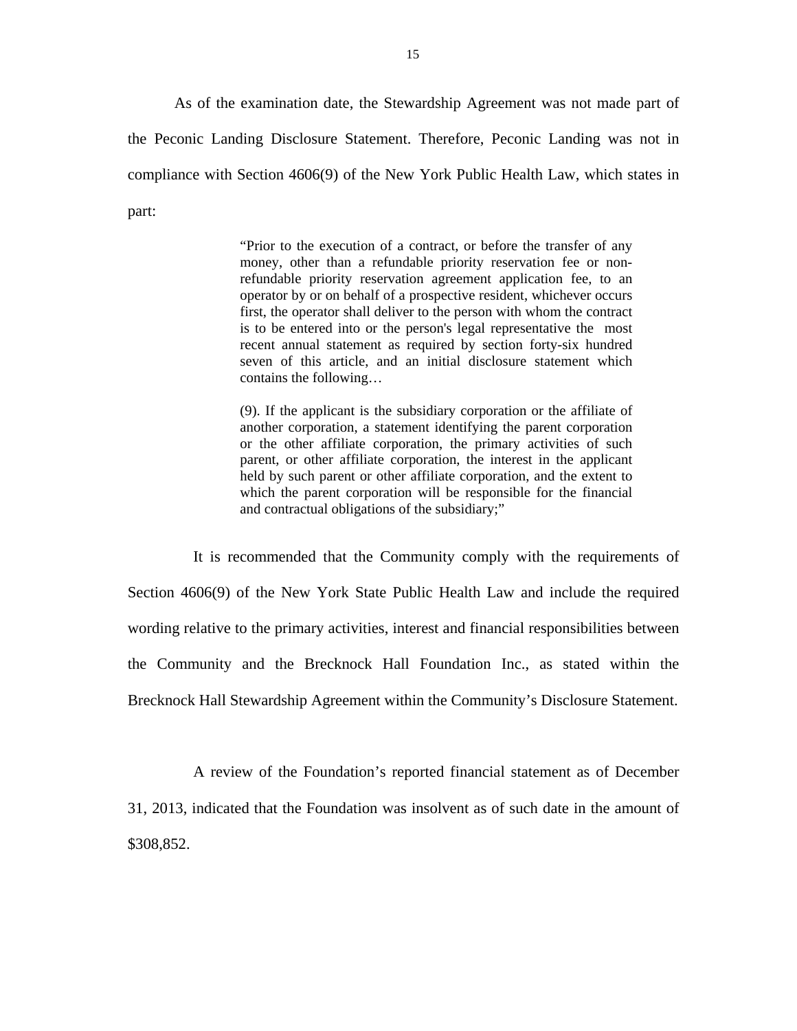As of the examination date, the Stewardship Agreement was not made part of the Peconic Landing Disclosure Statement. Therefore, Peconic Landing was not in compliance with Section 4606(9) of the New York Public Health Law, which states in part:

> "Prior to the execution of a contract, or before the transfer of any money, other than a refundable priority reservation fee or nonrefundable priority reservation agreement application fee, to an operator by or on behalf of a prospective resident, whichever occurs first, the operator shall deliver to the person with whom the contract is to be entered into or the person's legal representative the most recent annual statement as required by section forty-six hundred seven of this article, and an initial disclosure statement which contains the following…

> (9). If the applicant is the subsidiary corporation or the affiliate of another corporation, a statement identifying the parent corporation or the other affiliate corporation, the primary activities of such parent, or other affiliate corporation, the interest in the applicant held by such parent or other affiliate corporation, and the extent to which the parent corporation will be responsible for the financial and contractual obligations of the subsidiary;"

It is recommended that the Community comply with the requirements of Section 4606(9) of the New York State Public Health Law and include the required wording relative to the primary activities, interest and financial responsibilities between the Community and the Brecknock Hall Foundation Inc., as stated within the Brecknock Hall Stewardship Agreement within the Community's Disclosure Statement.

A review of the Foundation's reported financial statement as of December 31, 2013, indicated that the Foundation was insolvent as of such date in the amount of \$308,852.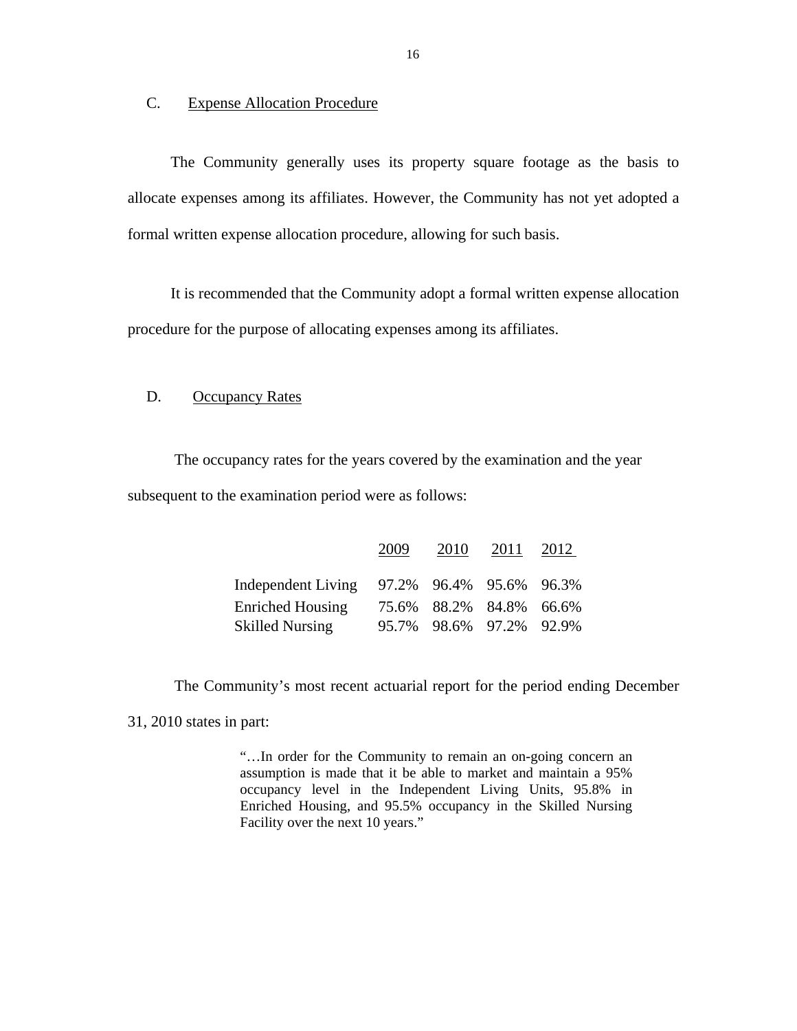#### C. Expense Allocation Procedure

 The Community generally uses its property square footage as the basis to allocate expenses among its affiliates. However, the Community has not yet adopted a formal written expense allocation procedure, allowing for such basis.

 It is recommended that the Community adopt a formal written expense allocation procedure for the purpose of allocating expenses among its affiliates.

### D. Occupancy Rates

The occupancy rates for the years covered by the examination and the year subsequent to the examination period were as follows:

|                         | 2009 | 2010                    | 2011 | 2012 |
|-------------------------|------|-------------------------|------|------|
| Independent Living      |      | 97.2% 96.4% 95.6% 96.3% |      |      |
| <b>Enriched Housing</b> |      | 75.6% 88.2% 84.8% 66.6% |      |      |
| <b>Skilled Nursing</b>  |      | 95.7% 98.6% 97.2% 92.9% |      |      |

The Community's most recent actuarial report for the period ending December

31, 2010 states in part:

"…In order for the Community to remain an on-going concern an assumption is made that it be able to market and maintain a 95% occupancy level in the Independent Living Units, 95.8% in Enriched Housing, and 95.5% occupancy in the Skilled Nursing Facility over the next 10 years."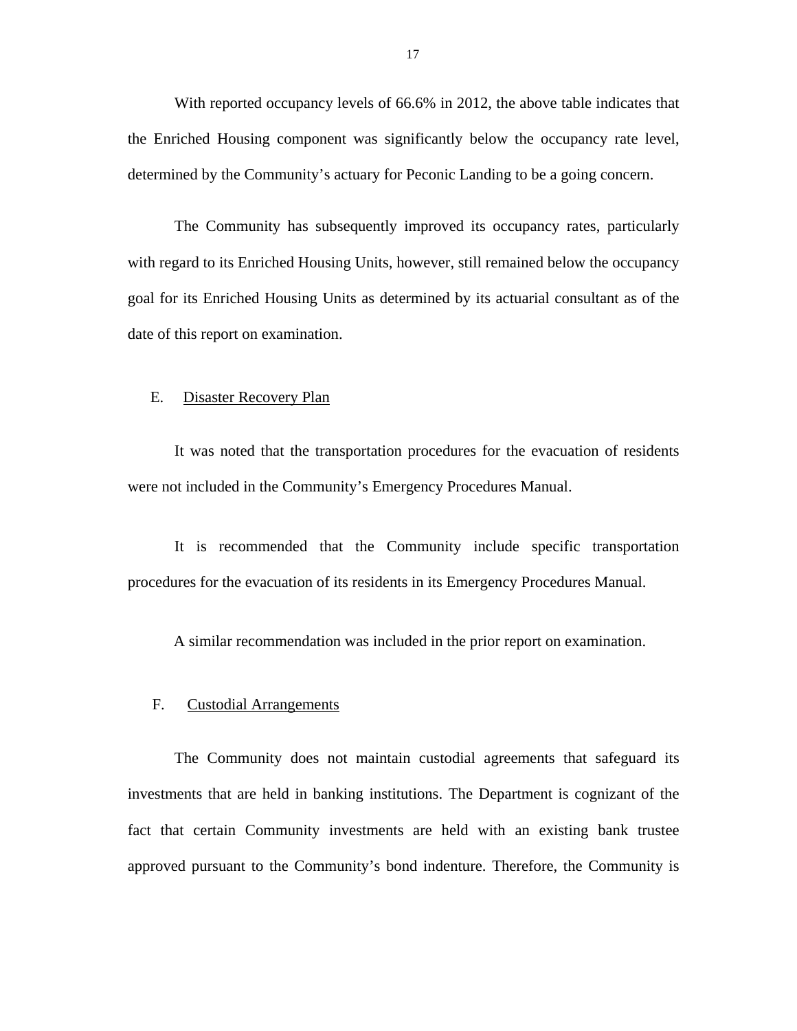<span id="page-18-0"></span>With reported occupancy levels of 66.6% in 2012, the above table indicates that the Enriched Housing component was significantly below the occupancy rate level, determined by the Community's actuary for Peconic Landing to be a going concern.

The Community has subsequently improved its occupancy rates, particularly with regard to its Enriched Housing Units, however, still remained below the occupancy goal for its Enriched Housing Units as determined by its actuarial consultant as of the date of this report on examination.

#### E. Disaster Recovery Plan

It was noted that the transportation procedures for the evacuation of residents were not included in the Community's Emergency Procedures Manual.

It is recommended that the Community include specific transportation procedures for the evacuation of its residents in its Emergency Procedures Manual.

A similar recommendation was included in the prior report on examination.

#### F. Custodial Arrangements

The Community does not maintain custodial agreements that safeguard its investments that are held in banking institutions. The Department is cognizant of the fact that certain Community investments are held with an existing bank trustee approved pursuant to the Community's bond indenture. Therefore, the Community is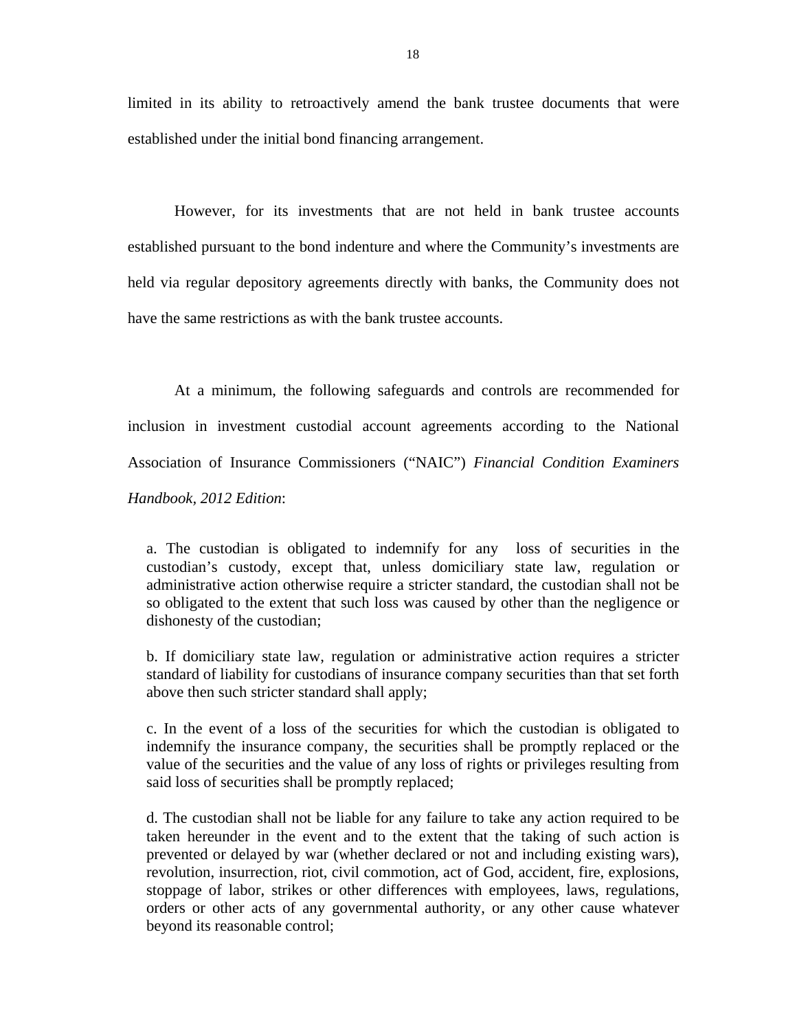limited in its ability to retroactively amend the bank trustee documents that were established under the initial bond financing arrangement.

However, for its investments that are not held in bank trustee accounts established pursuant to the bond indenture and where the Community's investments are held via regular depository agreements directly with banks, the Community does not have the same restrictions as with the bank trustee accounts.

At a minimum, the following safeguards and controls are recommended for inclusion in investment custodial account agreements according to the National Association of Insurance Commissioners ("NAIC") *Financial Condition Examiners Handbook, 2012 Edition*:

a. The custodian is obligated to indemnify for any loss of securities in the custodian's custody, except that, unless domiciliary state law, regulation or administrative action otherwise require a stricter standard, the custodian shall not be so obligated to the extent that such loss was caused by other than the negligence or dishonesty of the custodian;

b. If domiciliary state law, regulation or administrative action requires a stricter standard of liability for custodians of insurance company securities than that set forth above then such stricter standard shall apply;

c. In the event of a loss of the securities for which the custodian is obligated to indemnify the insurance company, the securities shall be promptly replaced or the value of the securities and the value of any loss of rights or privileges resulting from said loss of securities shall be promptly replaced;

d. The custodian shall not be liable for any failure to take any action required to be taken hereunder in the event and to the extent that the taking of such action is prevented or delayed by war (whether declared or not and including existing wars), revolution, insurrection, riot, civil commotion, act of God, accident, fire, explosions, stoppage of labor, strikes or other differences with employees, laws, regulations, orders or other acts of any governmental authority, or any other cause whatever beyond its reasonable control;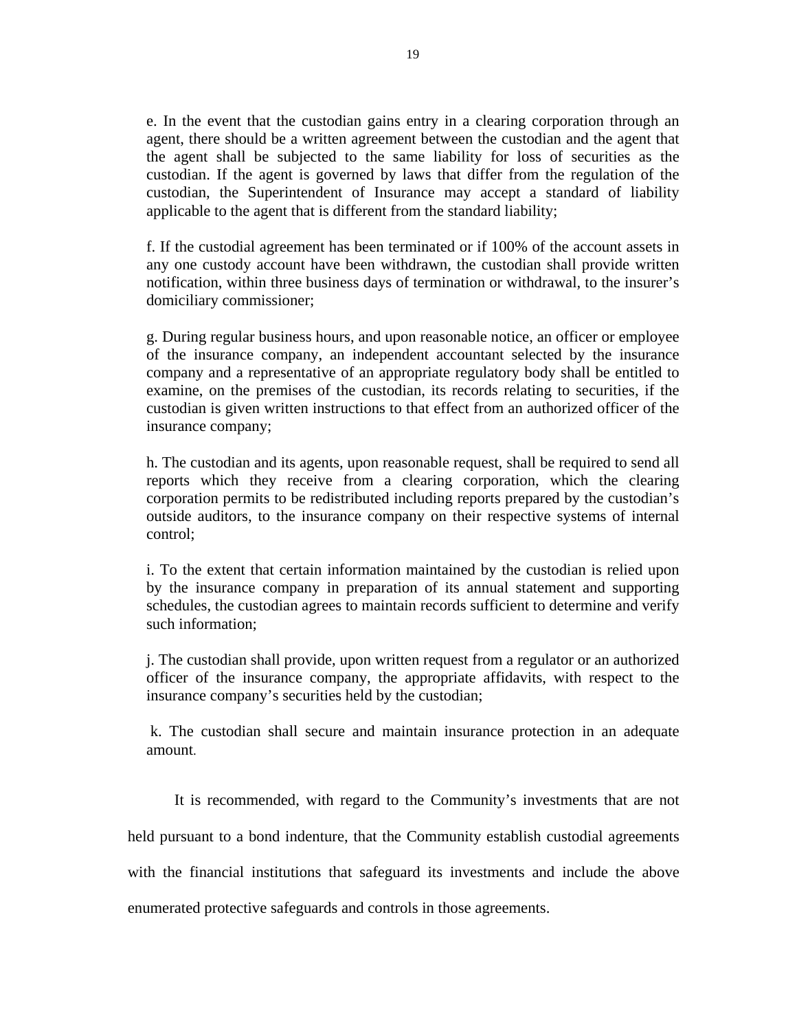e. In the event that the custodian gains entry in a clearing corporation through an agent, there should be a written agreement between the custodian and the agent that the agent shall be subjected to the same liability for loss of securities as the custodian. If the agent is governed by laws that differ from the regulation of the custodian, the Superintendent of Insurance may accept a standard of liability applicable to the agent that is different from the standard liability;

f. If the custodial agreement has been terminated or if 100% of the account assets in any one custody account have been withdrawn, the custodian shall provide written notification, within three business days of termination or withdrawal, to the insurer's domiciliary commissioner;

g. During regular business hours, and upon reasonable notice, an officer or employee of the insurance company, an independent accountant selected by the insurance company and a representative of an appropriate regulatory body shall be entitled to examine, on the premises of the custodian, its records relating to securities, if the custodian is given written instructions to that effect from an authorized officer of the insurance company;

h. The custodian and its agents, upon reasonable request, shall be required to send all reports which they receive from a clearing corporation, which the clearing corporation permits to be redistributed including reports prepared by the custodian's outside auditors, to the insurance company on their respective systems of internal control;

i. To the extent that certain information maintained by the custodian is relied upon by the insurance company in preparation of its annual statement and supporting schedules, the custodian agrees to maintain records sufficient to determine and verify such information;

j. The custodian shall provide, upon written request from a regulator or an authorized officer of the insurance company, the appropriate affidavits, with respect to the insurance company's securities held by the custodian;

k. The custodian shall secure and maintain insurance protection in an adequate amount.

It is recommended, with regard to the Community's investments that are not held pursuant to a bond indenture, that the Community establish custodial agreements with the financial institutions that safeguard its investments and include the above enumerated protective safeguards and controls in those agreements.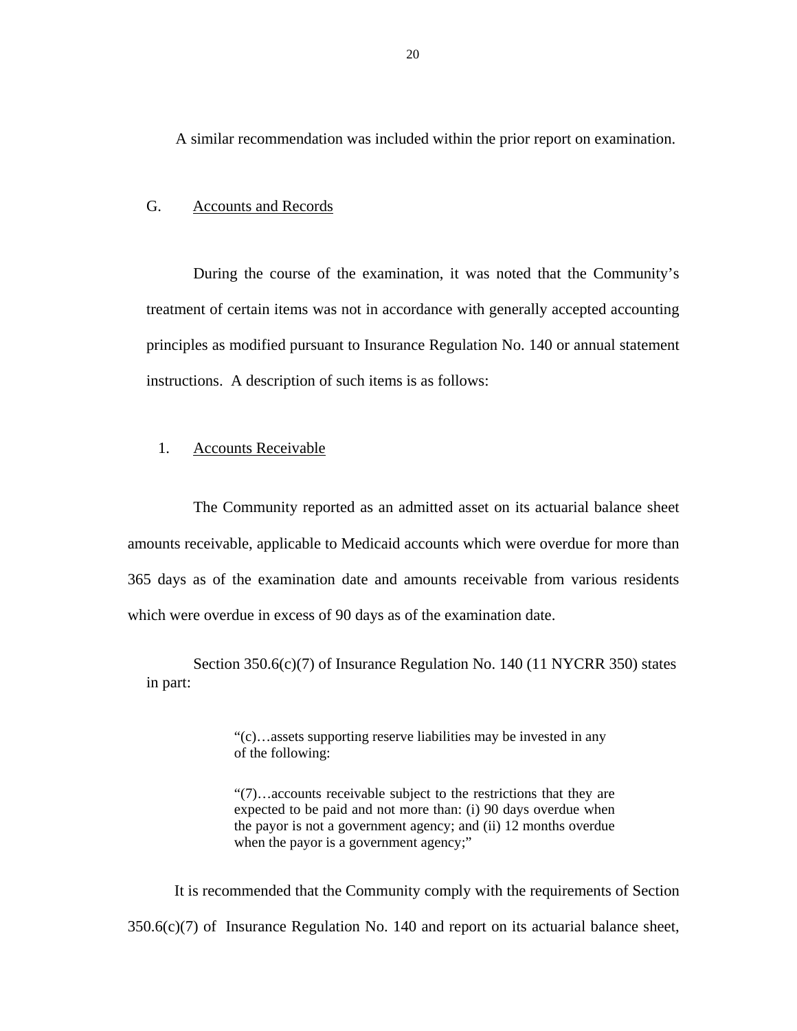<span id="page-21-0"></span>A similar recommendation was included within the prior report on examination.

### G. Accounts and Records

During the course of the examination, it was noted that the Community's treatment of certain items was not in accordance with generally accepted accounting principles as modified pursuant to Insurance Regulation No. 140 or annual statement instructions. A description of such items is as follows:

#### 1. Accounts Receivable

The Community reported as an admitted asset on its actuarial balance sheet amounts receivable, applicable to Medicaid accounts which were overdue for more than 365 days as of the examination date and amounts receivable from various residents which were overdue in excess of 90 days as of the examination date.

Section 350.6(c)(7) of Insurance Regulation No. 140 (11 NYCRR 350) states in part:

> "(c)…assets supporting reserve liabilities may be invested in any of the following:

"(7)…accounts receivable subject to the restrictions that they are expected to be paid and not more than: (i) 90 days overdue when the payor is not a government agency; and (ii) 12 months overdue when the payor is a government agency;"

 $350.6(c)(7)$  of Insurance Regulation No. 140 and report on its actuarial balance sheet, It is recommended that the Community comply with the requirements of Section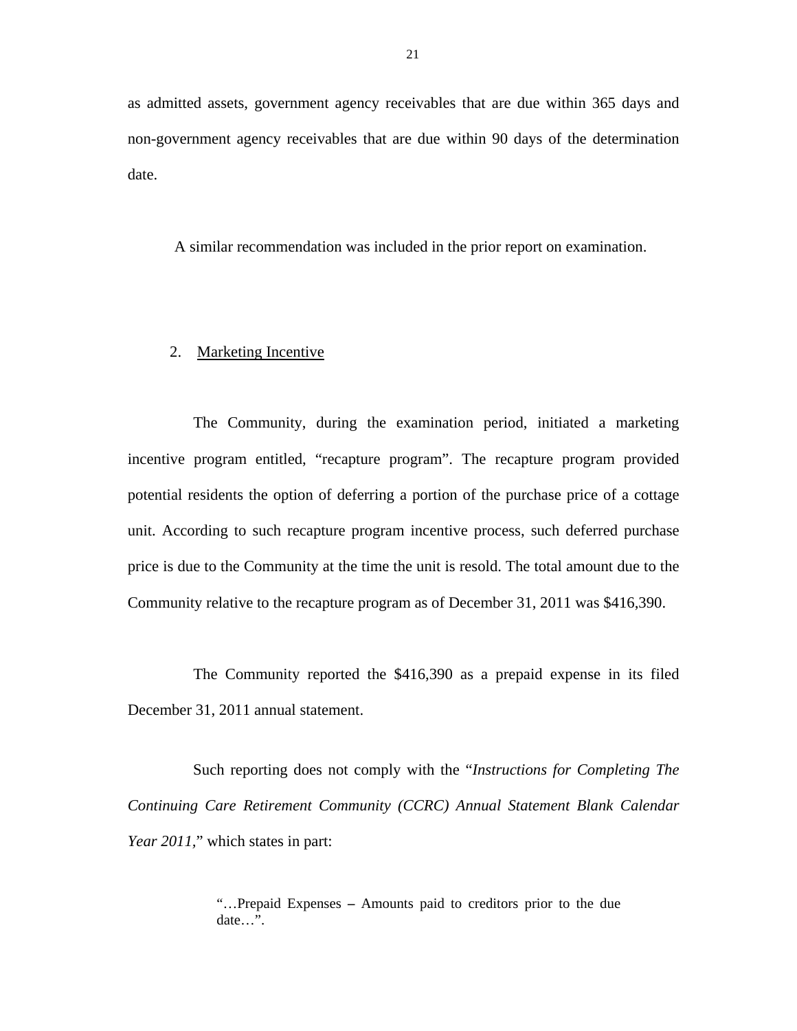as admitted assets, government agency receivables that are due within 365 days and non-government agency receivables that are due within 90 days of the determination date.

A similar recommendation was included in the prior report on examination.

#### 2. Marketing Incentive

The Community, during the examination period, initiated a marketing incentive program entitled, "recapture program". The recapture program provided potential residents the option of deferring a portion of the purchase price of a cottage unit. According to such recapture program incentive process, such deferred purchase price is due to the Community at the time the unit is resold. The total amount due to the Community relative to the recapture program as of December 31, 2011 was \$416,390.

The Community reported the \$416,390 as a prepaid expense in its filed December 31, 2011 annual statement.

Such reporting does not comply with the "*Instructions for Completing The Continuing Care Retirement Community (CCRC) Annual Statement Blank Calendar Year 2011*," which states in part:

> "…Prepaid Expenses **–** Amounts paid to creditors prior to the due date $\ldots$ <sup>5</sup>.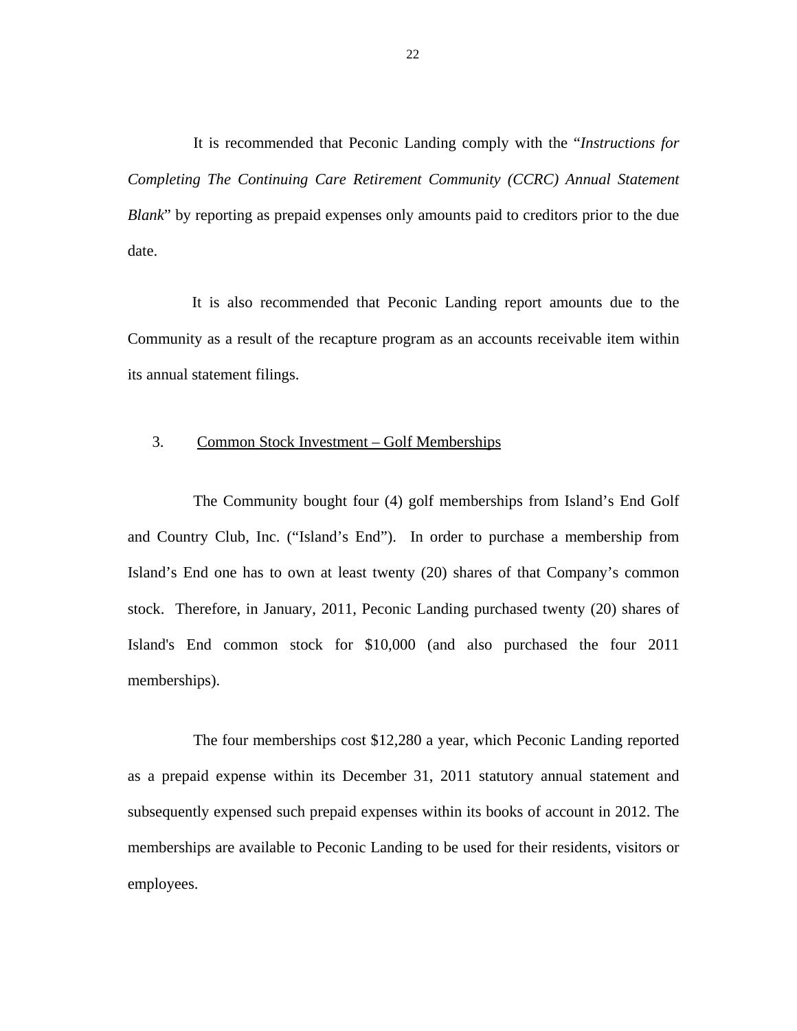It is recommended that Peconic Landing comply with the "*Instructions for Completing The Continuing Care Retirement Community (CCRC) Annual Statement Blank*" by reporting as prepaid expenses only amounts paid to creditors prior to the due date.

It is also recommended that Peconic Landing report amounts due to the Community as a result of the recapture program as an accounts receivable item within its annual statement filings.

#### 3. Common Stock Investment – Golf Memberships

The Community bought four (4) golf memberships from Island's End Golf and Country Club, Inc. ("Island's End"). In order to purchase a membership from Island's End one has to own at least twenty (20) shares of that Company's common stock. Therefore, in January, 2011, Peconic Landing purchased twenty (20) shares of Island's End common stock for \$10,000 (and also purchased the four 2011 memberships).

The four memberships cost \$12,280 a year, which Peconic Landing reported as a prepaid expense within its December 31, 2011 statutory annual statement and subsequently expensed such prepaid expenses within its books of account in 2012. The memberships are available to Peconic Landing to be used for their residents, visitors or employees.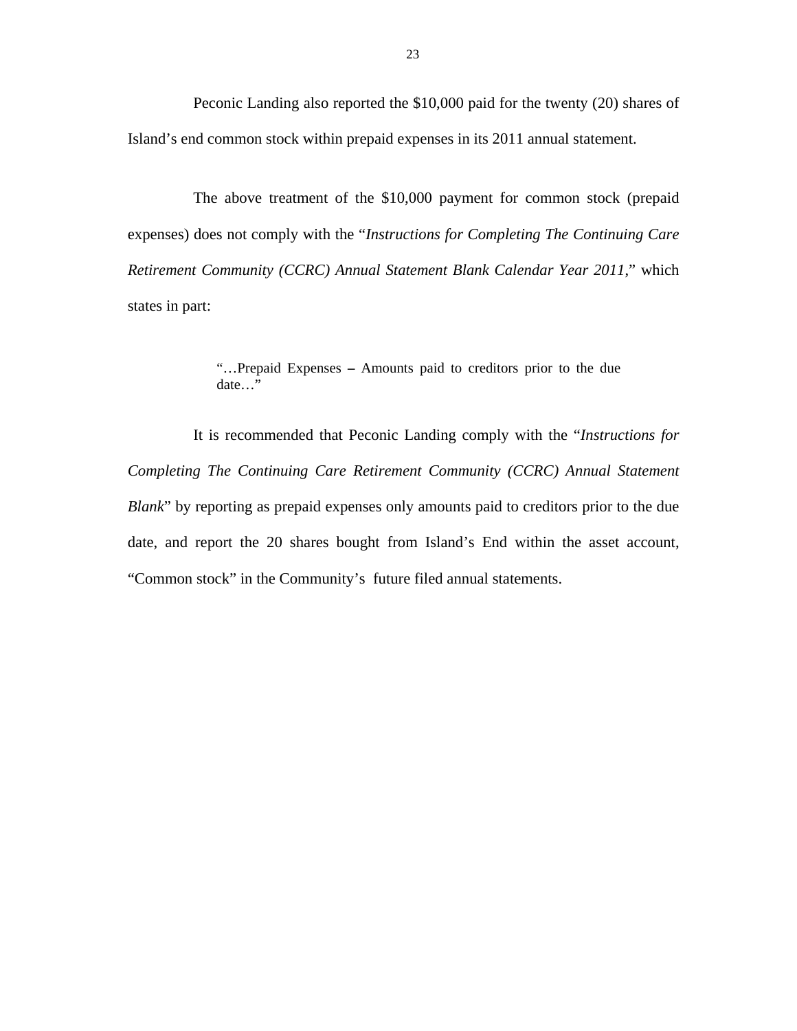Peconic Landing also reported the \$10,000 paid for the twenty (20) shares of Island's end common stock within prepaid expenses in its 2011 annual statement.

The above treatment of the \$10,000 payment for common stock (prepaid expenses) does not comply with the "*Instructions for Completing The Continuing Care Retirement Community (CCRC) Annual Statement Blank Calendar Year 2011*," which states in part:

> "…Prepaid Expenses **–** Amounts paid to creditors prior to the due date…"

It is recommended that Peconic Landing comply with the "*Instructions for Completing The Continuing Care Retirement Community (CCRC) Annual Statement Blank*" by reporting as prepaid expenses only amounts paid to creditors prior to the due date, and report the 20 shares bought from Island's End within the asset account, "Common stock" in the Community's future filed annual statements.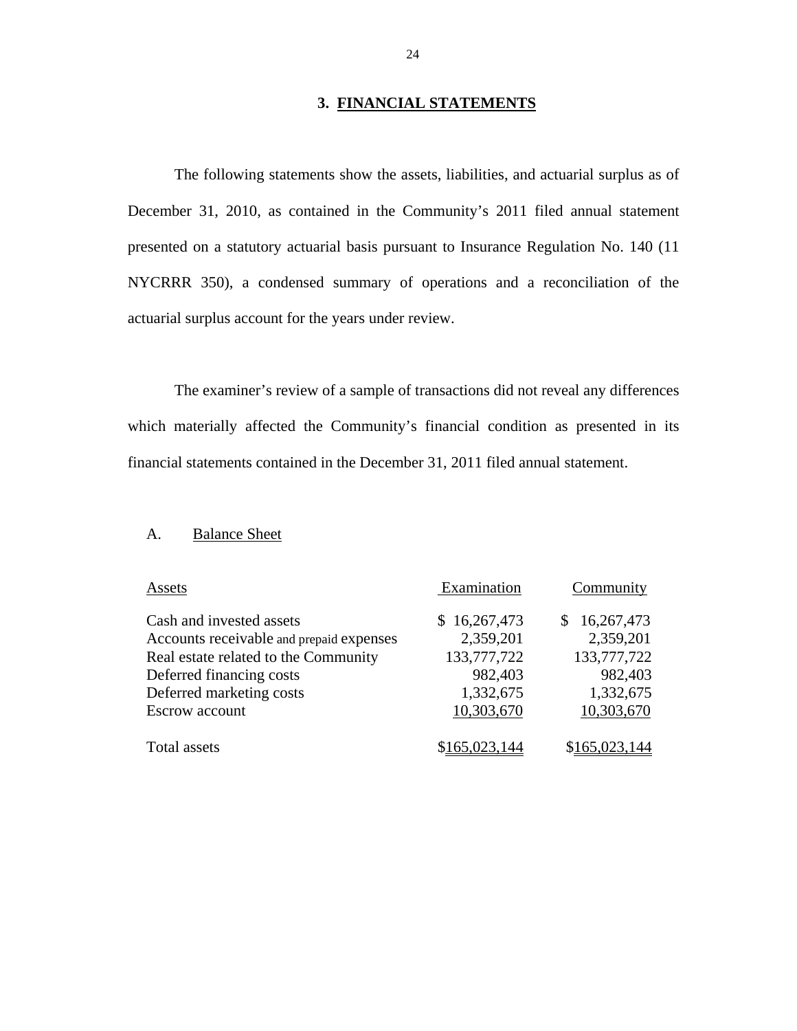#### **3. FINANCIAL STATEMENTS**

<span id="page-25-0"></span>The following statements show the assets, liabilities, and actuarial surplus as of December 31, 2010, as contained in the Community's 2011 filed annual statement presented on a statutory actuarial basis pursuant to Insurance Regulation No. 140 (11 NYCRRR 350), a condensed summary of operations and a reconciliation of the actuarial surplus account for the years under review.

The examiner's review of a sample of transactions did not reveal any differences which materially affected the Community's financial condition as presented in its financial statements contained in the December 31, 2011 filed annual statement.

#### A. Balance Sheet

| Assets                                                                                                       | Examination                              | Community                                     |
|--------------------------------------------------------------------------------------------------------------|------------------------------------------|-----------------------------------------------|
| Cash and invested assets<br>Accounts receivable and prepaid expenses<br>Real estate related to the Community | \$16,267,473<br>2,359,201<br>133,777,722 | 16,267,473<br>\$.<br>2,359,201<br>133,777,722 |
| Deferred financing costs<br>Deferred marketing costs<br><b>Escrow</b> account                                | 982,403<br>1,332,675<br>10,303,670       | 982,403<br>1,332,675<br>10,303,670            |
| Total assets                                                                                                 | \$165,023,144                            | \$165,023,144                                 |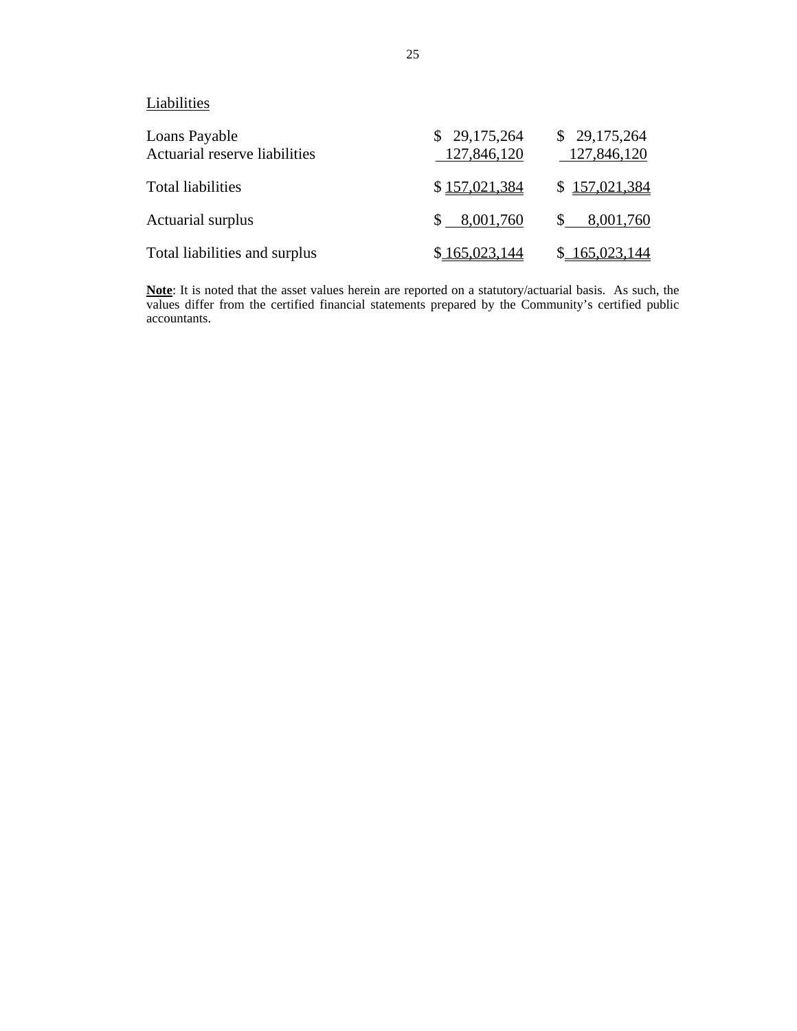**Liabilities** 

| Loans Payable<br>Actuarial reserve liabilities | \$29,175,264<br>127,846,120 | \$29,175,264<br>127,846,120 |
|------------------------------------------------|-----------------------------|-----------------------------|
| <b>Total liabilities</b>                       | \$157,021,384               | \$157,021,384               |
| Actuarial surplus                              | \$8,001,760                 | \$8,001,760                 |
| Total liabilities and surplus                  | \$165,023,144               | \$165,023,144               |

**Note**: It is noted that the asset values herein are reported on a statutory/actuarial basis. As such, the values differ from the certified financial statements prepared by the Community's certified public accountants.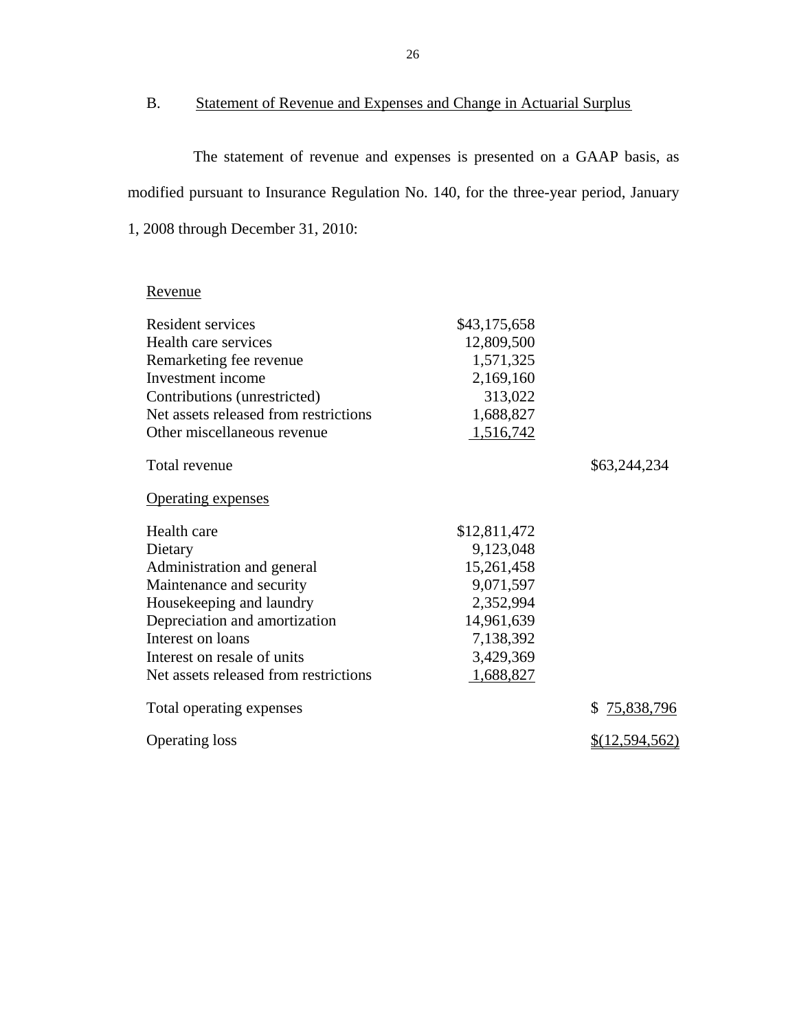## B. Statement of Revenue and Expenses and Change in Actuarial Surplus

The statement of revenue and expenses is presented on a GAAP basis, as modified pursuant to Insurance Regulation No. 140, for the three-year period, January 1, 2008 through December 31, 2010:

## Revenue

| Resident services                     | \$43,175,658 |                  |
|---------------------------------------|--------------|------------------|
| Health care services                  | 12,809,500   |                  |
| Remarketing fee revenue               | 1,571,325    |                  |
| Investment income                     | 2,169,160    |                  |
| Contributions (unrestricted)          | 313,022      |                  |
| Net assets released from restrictions | 1,688,827    |                  |
| Other miscellaneous revenue           | 1,516,742    |                  |
| Total revenue                         |              | \$63,244,234     |
| <b>Operating expenses</b>             |              |                  |
| Health care                           | \$12,811,472 |                  |
| Dietary                               | 9,123,048    |                  |
| Administration and general            | 15,261,458   |                  |
| Maintenance and security              | 9,071,597    |                  |
| Housekeeping and laundry              | 2,352,994    |                  |
| Depreciation and amortization         | 14,961,639   |                  |
| Interest on loans                     | 7,138,392    |                  |
| Interest on resale of units           | 3,429,369    |                  |
| Net assets released from restrictions | 1,688,827    |                  |
| Total operating expenses              |              | 75,838,796<br>\$ |
| <b>Operating loss</b>                 |              | \$(12,594,562)   |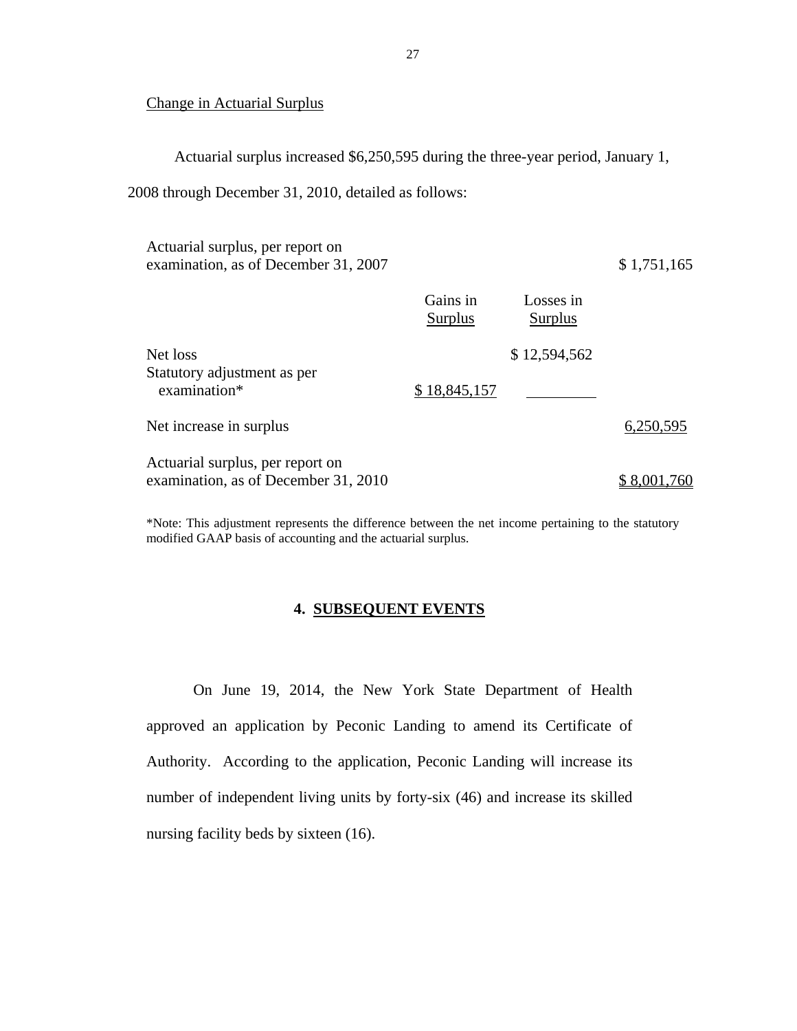#### Change in Actuarial Surplus

Actuarial surplus increased \$6,250,595 during the three-year period, January 1,

2008 through December 31, 2010, detailed as follows:

| Actuarial surplus, per report on     |          |           |             |
|--------------------------------------|----------|-----------|-------------|
| examination, as of December 31, 2007 |          |           | \$1,751,165 |
|                                      | Gains in | Losses in |             |

|                                                                          | Surplus      | Surplus      |             |
|--------------------------------------------------------------------------|--------------|--------------|-------------|
| Net loss                                                                 |              | \$12,594,562 |             |
| Statutory adjustment as per<br>examination*                              | \$18,845,157 |              |             |
| Net increase in surplus                                                  |              |              | 6,250,595   |
| Actuarial surplus, per report on<br>examination, as of December 31, 2010 |              |              | \$8,001,760 |

 modified GAAP basis of accounting and the actuarial surplus. \*Note: This adjustment represents the difference between the net income pertaining to the statutory

### **4. SUBSEQUENT EVENTS**

On June 19, 2014, the New York State Department of Health approved an application by Peconic Landing to amend its Certificate of Authority. According to the application, Peconic Landing will increase its number of independent living units by forty-six (46) and increase its skilled nursing facility beds by sixteen (16).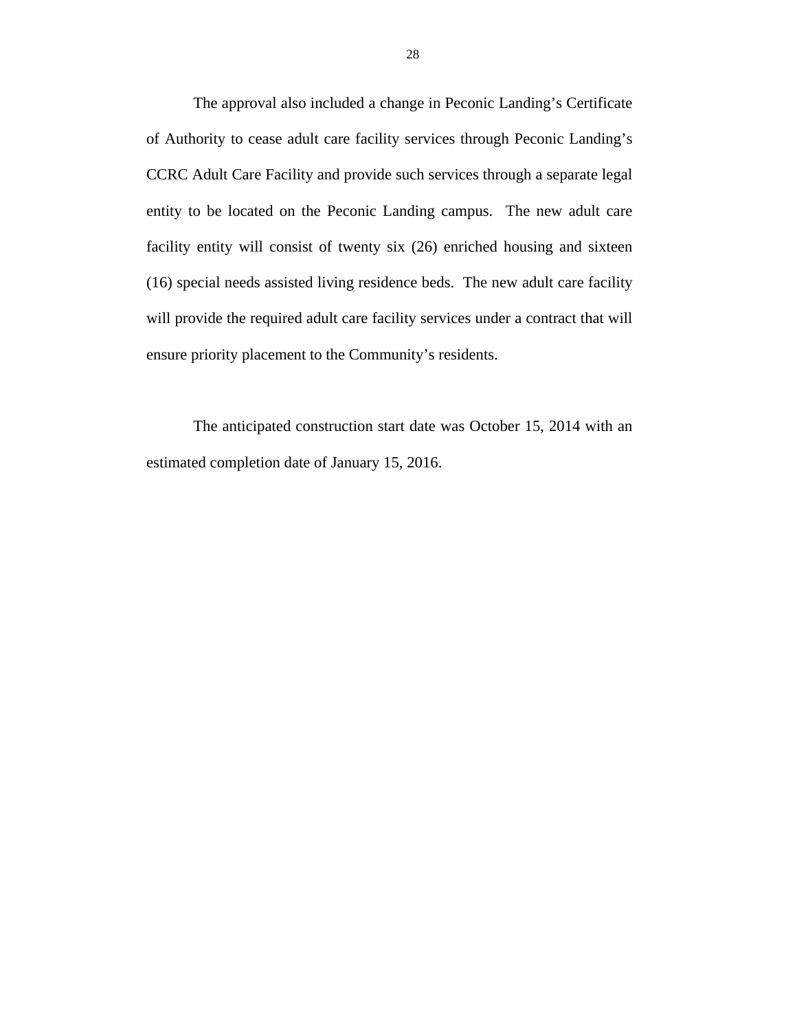The approval also included a change in Peconic Landing's Certificate of Authority to cease adult care facility services through Peconic Landing's CCRC Adult Care Facility and provide such services through a separate legal entity to be located on the Peconic Landing campus. The new adult care facility entity will consist of twenty six (26) enriched housing and sixteen (16) special needs assisted living residence beds. The new adult care facility will provide the required adult care facility services under a contract that will ensure priority placement to the Community's residents.

The anticipated construction start date was October 15, 2014 with an estimated completion date of January 15, 2016.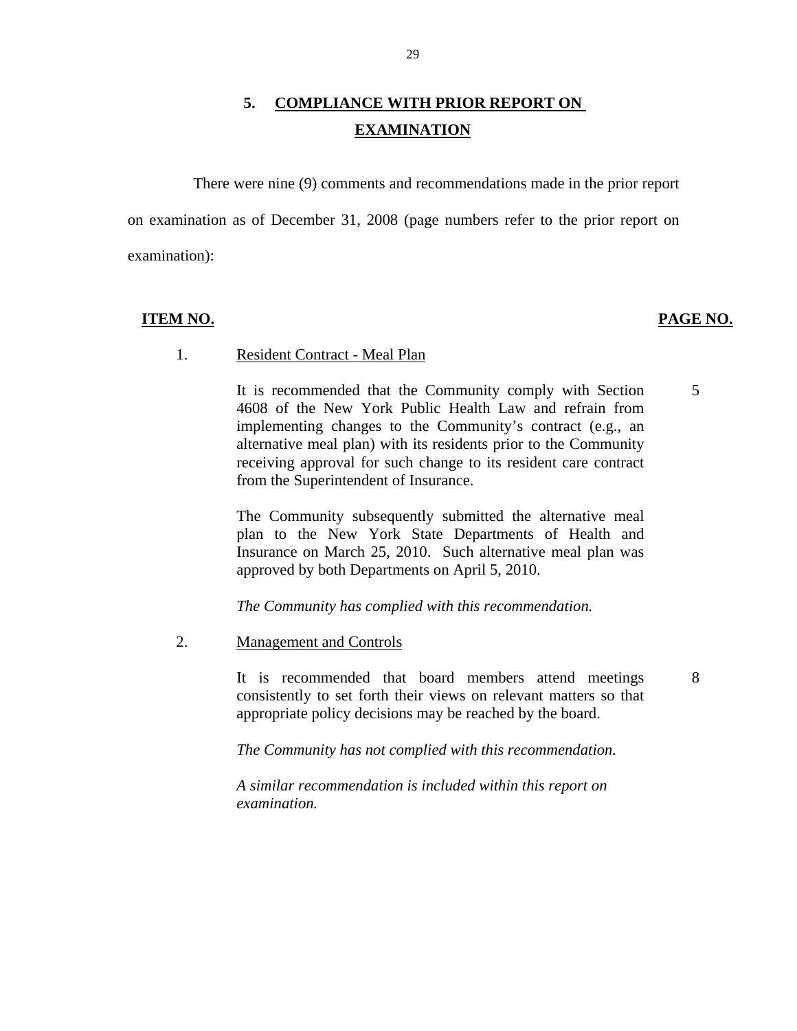## **5. COMPLIANCE WITH PRIOR REPORT ON EXAMINATION**

There were nine (9) comments and recommendations made in the prior report on examination as of December 31, 2008 (page numbers refer to the prior report on examination):

#### **ITEM NO. PAGE NO.**

5

8

#### 1. Resident Contract - Meal Plan

It is recommended that the Community comply with Section 4608 of the New York Public Health Law and refrain from implementing changes to the Community's contract (e.g., an alternative meal plan) with its residents prior to the Community receiving approval for such change to its resident care contract from the Superintendent of Insurance.

The Community subsequently submitted the alternative meal plan to the New York State Departments of Health and Insurance on March 25, 2010. Such alternative meal plan was approved by both Departments on April 5, 2010.

*The Community has complied with this recommendation.* 

#### 2. Management and Controls

It is recommended that board members attend meetings consistently to set forth their views on relevant matters so that appropriate policy decisions may be reached by the board.

*The Community has not complied with this recommendation.* 

*A similar recommendation is included within this report on examination.*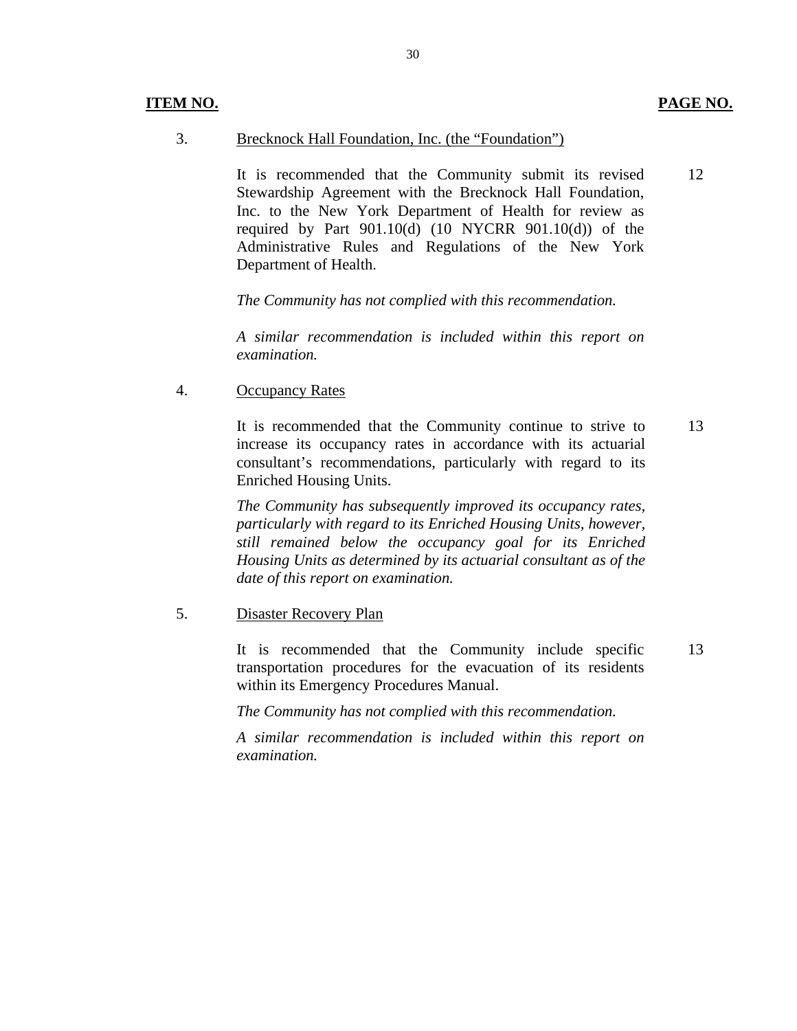12

#### 3. Brecknock Hall Foundation, Inc. (the "Foundation")

It is recommended that the Community submit its revised Stewardship Agreement with the Brecknock Hall Foundation, Inc. to the New York Department of Health for review as required by Part  $901.10(d)$  (10 NYCRR  $901.10(d)$ ) of the Administrative Rules and Regulations of the New York Department of Health.

*The Community has not complied with this recommendation.* 

*A similar recommendation is included within this report on examination.* 

4. Occupancy Rates

It is recommended that the Community continue to strive to increase its occupancy rates in accordance with its actuarial consultant's recommendations, particularly with regard to its Enriched Housing Units. 13

*The Community has subsequently improved its occupancy rates, particularly with regard to its Enriched Housing Units, however, still remained below the occupancy goal for its Enriched Housing Units as determined by its actuarial consultant as of the date of this report on examination.* 

#### 5. Disaster Recovery Plan

It is recommended that the Community include specific transportation procedures for the evacuation of its residents within its Emergency Procedures Manual. 13

*The Community has not complied with this recommendation.* 

 *examination. A similar recommendation is included within this report on*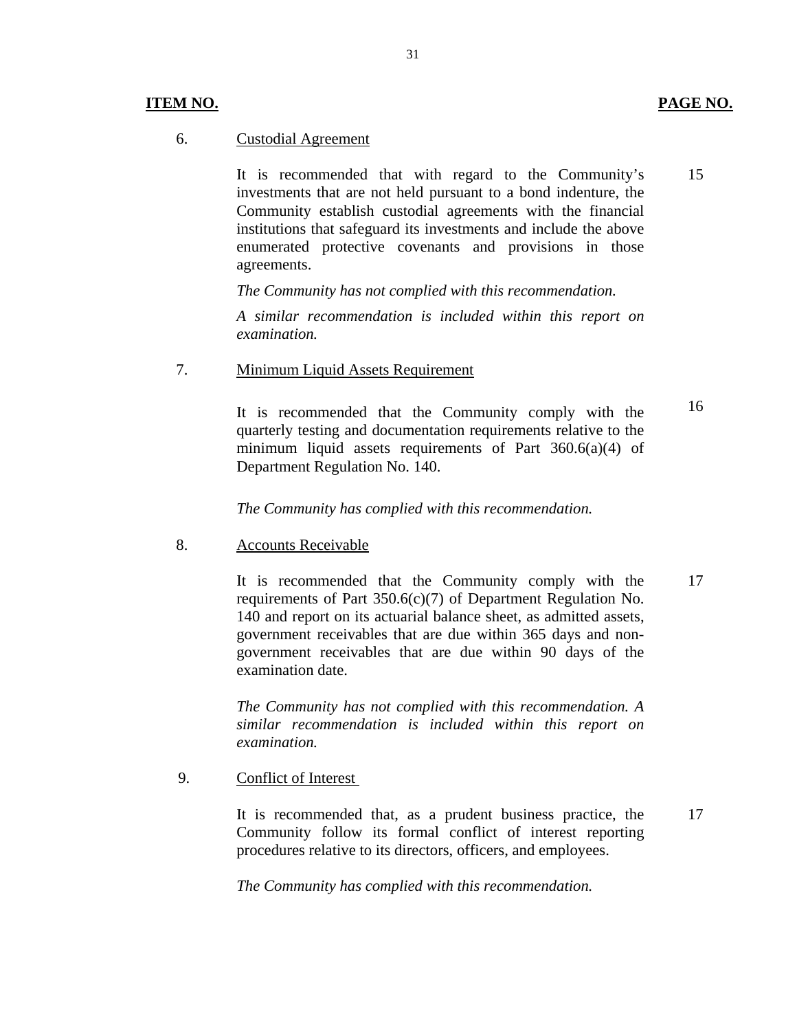It is recommended that with regard to the Community's investments that are not held pursuant to a bond indenture, the Community establish custodial agreements with the financial institutions that safeguard its investments and include the above enumerated protective covenants and provisions in those agreements.

*The Community has not complied with this recommendation.* 

*A similar recommendation is included within this report on examination.* 

7. Minimum Liquid Assets Requirement

quarterly testing and documentation requirements relative to the It is recommended that the Community comply with the minimum liquid assets requirements of Part  $360.6(a)(4)$  of Department Regulation No. 140.

*The Community has complied with this recommendation.* 

8. Accounts Receivable

It is recommended that the Community comply with the requirements of Part 350.6(c)(7) of Department Regulation No. 140 and report on its actuarial balance sheet, as admitted assets, government receivables that are due within 365 days and nongovernment receivables that are due within 90 days of the examination date.

*The Community has not complied with this recommendation. A similar recommendation is included within this report on examination.* 

9. Conflict of Interest

It is recommended that, as a prudent business practice, the Community follow its formal conflict of interest reporting procedures relative to its directors, officers, and employees.

*The Community has complied with this recommendation.* 

**ITEM NO. PAGE NO.** 

15

16

17

31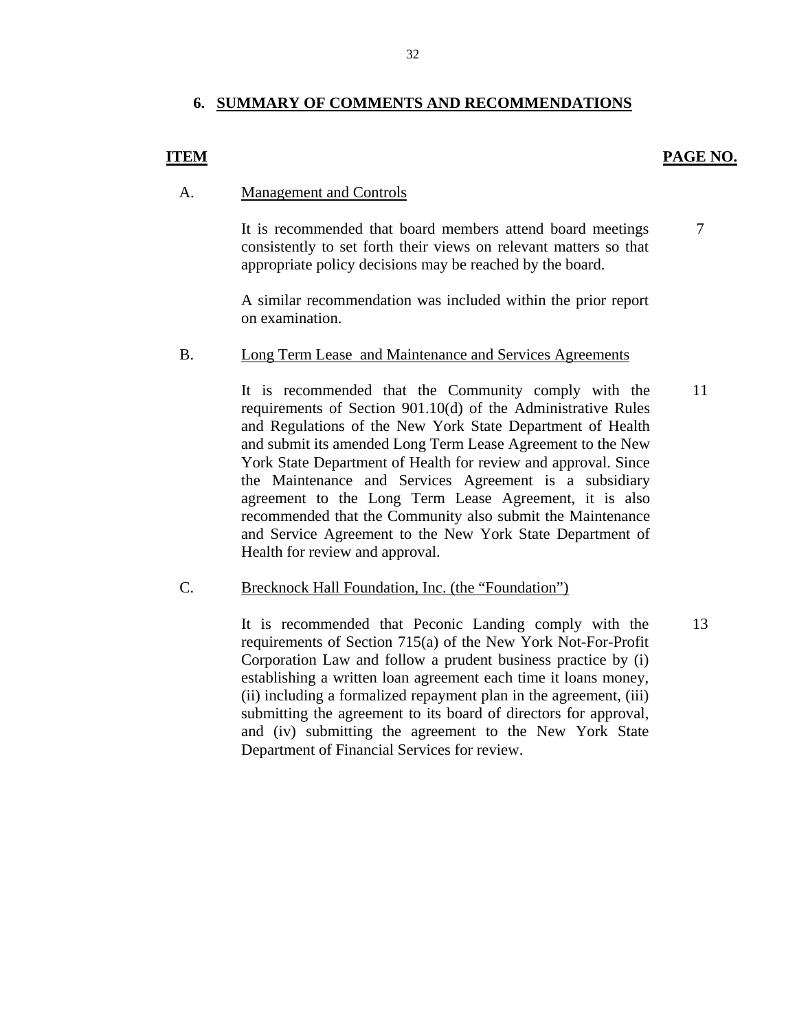### **6. SUMMARY OF COMMENTS AND RECOMMENDATIONS**

### **ITEM** PAGE NO.

7

### A. Management and Controls

It is recommended that board members attend board meetings consistently to set forth their views on relevant matters so that appropriate policy decisions may be reached by the board.

A similar recommendation was included within the prior report on examination.

#### B. Long Term Lease and Maintenance and Services Agreements

It is recommended that the Community comply with the requirements of Section 901.10(d) of the Administrative Rules and Regulations of the New York State Department of Health and submit its amended Long Term Lease Agreement to the New York State Department of Health for review and approval. Since the Maintenance and Services Agreement is a subsidiary agreement to the Long Term Lease Agreement, it is also recommended that the Community also submit the Maintenance and Service Agreement to the New York State Department of Health for review and approval. 11

#### C. Brecknock Hall Foundation, Inc. (the "Foundation")

It is recommended that Peconic Landing comply with the requirements of Section 715(a) of the New York Not-For-Profit Corporation Law and follow a prudent business practice by (i) establishing a written loan agreement each time it loans money, (ii) including a formalized repayment plan in the agreement, (iii) submitting the agreement to its board of directors for approval, and (iv) submitting the agreement to the New York State Department of Financial Services for review. 13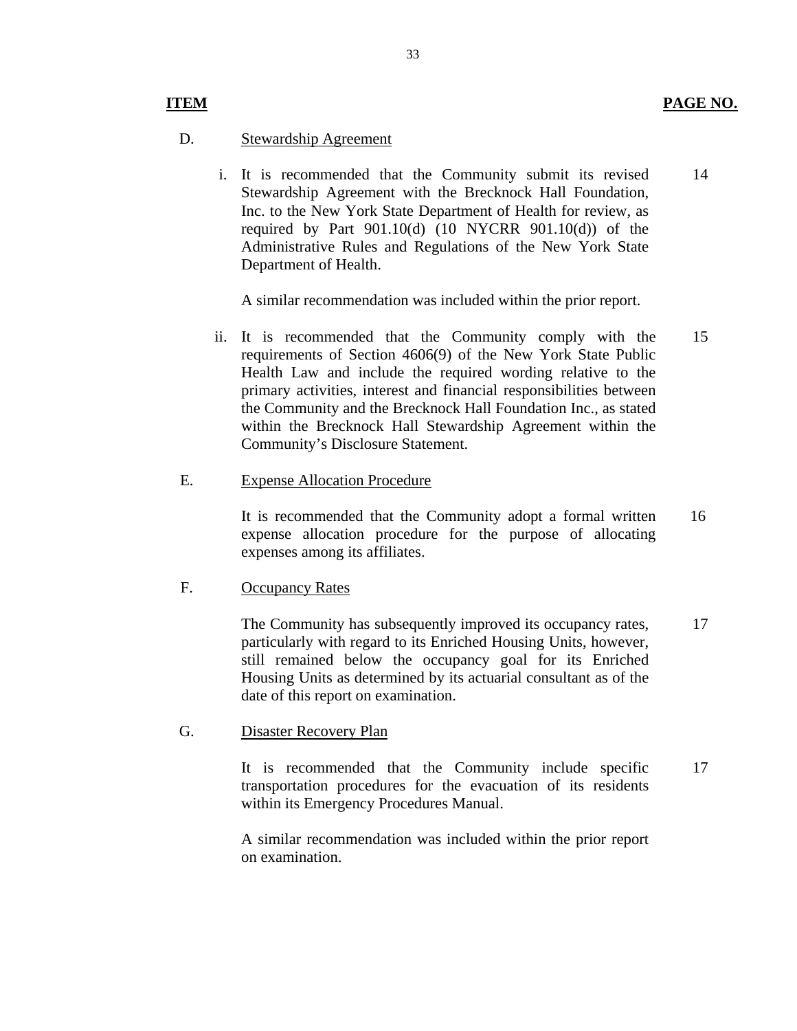### D. Stewardship Agreement

i. It is recommended that the Community submit its revised Stewardship Agreement with the Brecknock Hall Foundation, Inc. to the New York State Department of Health for review, as required by Part  $901.10(d)$  (10 NYCRR  $901.10(d)$ ) of the Administrative Rules and Regulations of the New York State Department of Health. 14

A similar recommendation was included within the prior report.

ii. It is recommended that the Community comply with the requirements of Section 4606(9) of the New York State Public Health Law and include the required wording relative to the primary activities, interest and financial responsibilities between the Community and the Brecknock Hall Foundation Inc., as stated within the Brecknock Hall Stewardship Agreement within the Community's Disclosure Statement. 15

### E. Expense Allocation Procedure

It is recommended that the Community adopt a formal written expense allocation procedure for the purpose of allocating expenses among its affiliates. 16

### F. Occupancy Rates

The Community has subsequently improved its occupancy rates, particularly with regard to its Enriched Housing Units, however, still remained below the occupancy goal for its Enriched Housing Units as determined by its actuarial consultant as of the date of this report on examination. 17

#### G. Disaster Recovery Plan

It is recommended that the Community include specific transportation procedures for the evacuation of its residents within its Emergency Procedures Manual. 17

A similar recommendation was included within the prior report on examination.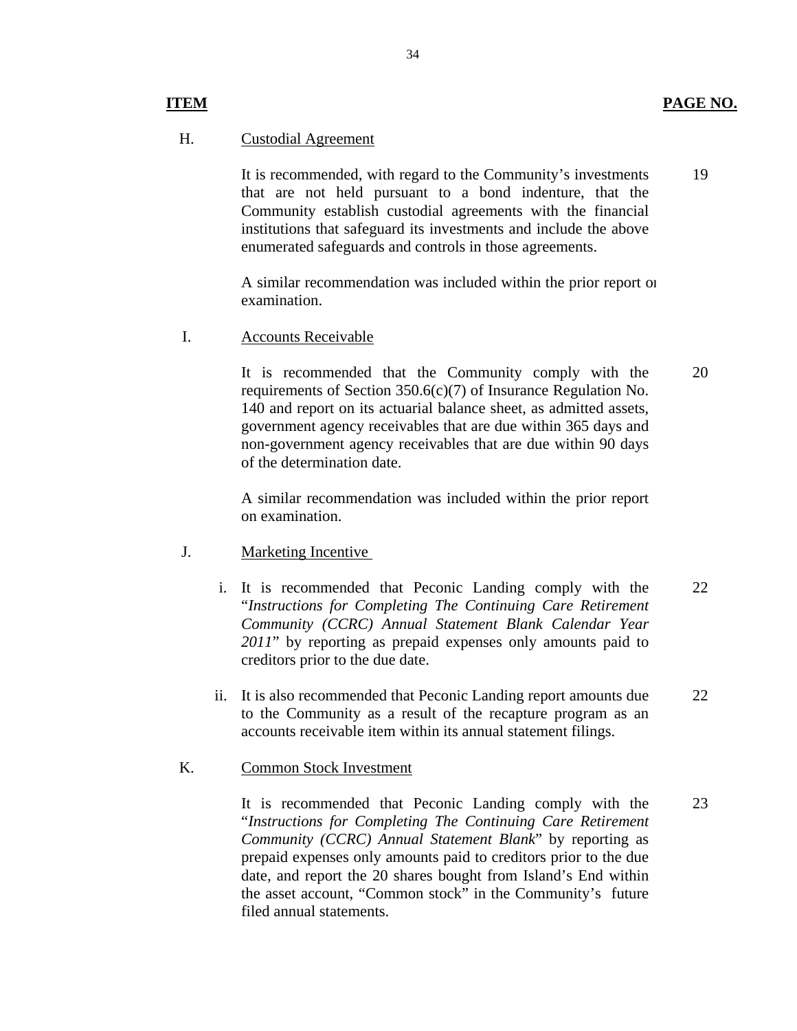### **ITEM** PAGE NO.

19

### H. Custodial Agreement

It is recommended, with regard to the Community's investments that are not held pursuant to a bond indenture, that the Community establish custodial agreements with the financial institutions that safeguard its investments and include the above enumerated safeguards and controls in those agreements.

A similar recommendation was included within the prior report on examination.

I. Accounts Receivable

It is recommended that the Community comply with the requirements of Section 350.6(c)(7) of Insurance Regulation No. 140 and report on its actuarial balance sheet, as admitted assets, government agency receivables that are due within 365 days and non-government agency receivables that are due within 90 days of the determination date. 20

A similar recommendation was included within the prior report on examination.

- J. Marketing Incentive
	- i. It is recommended that Peconic Landing comply with the "*Instructions for Completing The Continuing Care Retirement Community (CCRC) Annual Statement Blank Calendar Year 2011*" by reporting as prepaid expenses only amounts paid to creditors prior to the due date. 22
	- ii. It is also recommended that Peconic Landing report amounts due to the Community as a result of the recapture program as an accounts receivable item within its annual statement filings. 22

#### K. Common Stock Investment

It is recommended that Peconic Landing comply with the "*Instructions for Completing The Continuing Care Retirement Community (CCRC) Annual Statement Blank*" by reporting as prepaid expenses only amounts paid to creditors prior to the due date, and report the 20 shares bought from Island's End within the asset account, "Common stock" in the Community's future filed annual statements. 23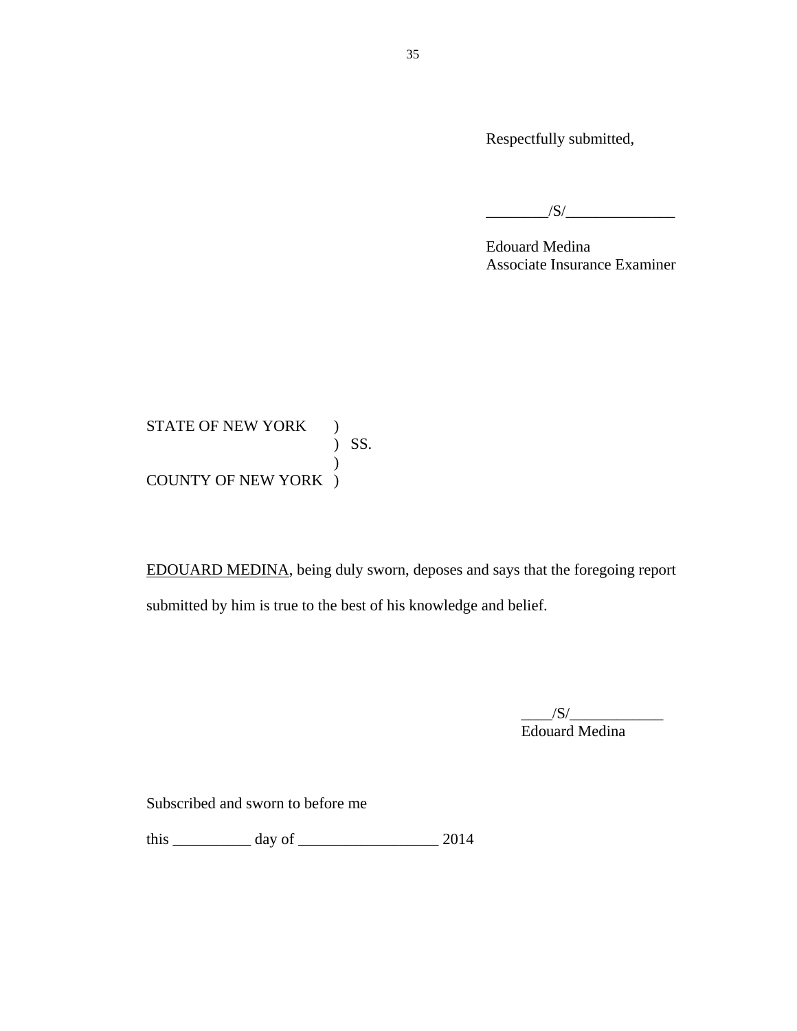Respectfully submitted,

 $\overline{\phantom{a}}$  /S/ $\overline{\phantom{a}}$ 

Edouard Medina Associate Insurance Examiner

 ) SS. STATE OF NEW YORK ) ) COUNTY OF NEW YORK )

EDOUARD MEDINA, being duly sworn, deposes and says that the foregoing report submitted by him is true to the best of his knowledge and belief.

> $\frac{|S|}{|S|}$ Edouard Medina

Subscribed and sworn to before me

this  $\frac{1}{2014}$  day of  $\frac{1}{2014}$